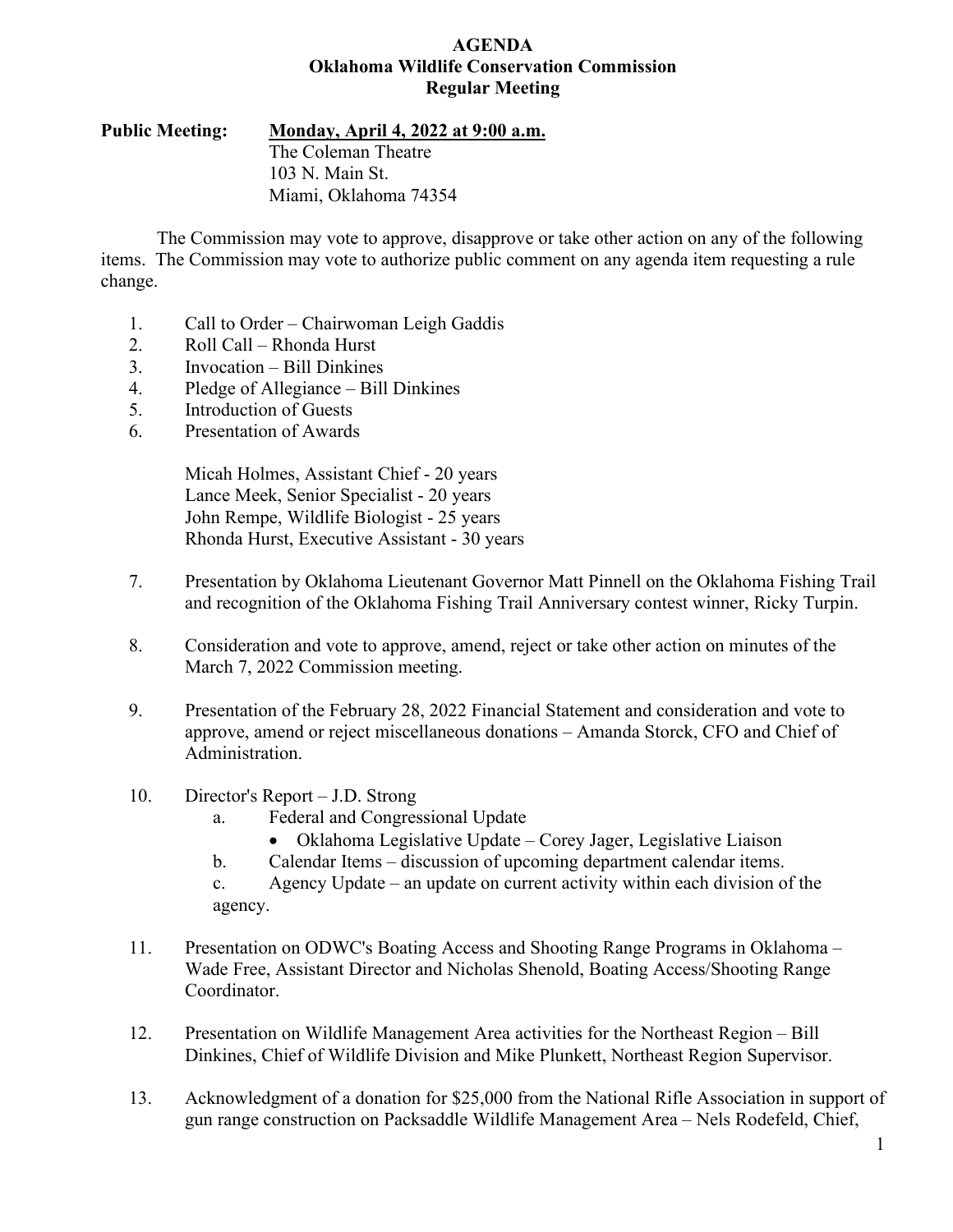#### **AGENDA Oklahoma Wildlife Conservation Commission Regular Meeting**

**Public Meeting: Monday, April 4, 2022 at 9:00 a.m.**

The Coleman Theatre 103 N. Main St. Miami, Oklahoma 74354

The Commission may vote to approve, disapprove or take other action on any of the following items. The Commission may vote to authorize public comment on any agenda item requesting a rule change.

- 1. Call to Order Chairwoman Leigh Gaddis
- 2. Roll Call Rhonda Hurst
- 3. Invocation Bill Dinkines
- 4. Pledge of Allegiance Bill Dinkines
- 5. Introduction of Guests
- 6. Presentation of Awards

Micah Holmes, Assistant Chief - 20 years Lance Meek, Senior Specialist - 20 years John Rempe, Wildlife Biologist - 25 years Rhonda Hurst, Executive Assistant - 30 years

- 7. Presentation by Oklahoma Lieutenant Governor Matt Pinnell on the Oklahoma Fishing Trail and recognition of the Oklahoma Fishing Trail Anniversary contest winner, Ricky Turpin.
- 8. Consideration and vote to approve, amend, reject or take other action on minutes of the March 7, 2022 Commission meeting.
- 9. Presentation of the February 28, 2022 Financial Statement and consideration and vote to approve, amend or reject miscellaneous donations – Amanda Storck, CFO and Chief of Administration.
- 10. Director's Report J.D. Strong
	- a. Federal and Congressional Update
		- Oklahoma Legislative Update Corey Jager, Legislative Liaison
	- b. Calendar Items discussion of upcoming department calendar items.

c. Agency Update – an update on current activity within each division of the agency.

- 11. Presentation on ODWC's Boating Access and Shooting Range Programs in Oklahoma Wade Free, Assistant Director and Nicholas Shenold, Boating Access/Shooting Range Coordinator.
- 12. Presentation on Wildlife Management Area activities for the Northeast Region Bill Dinkines, Chief of Wildlife Division and Mike Plunkett, Northeast Region Supervisor.
- 13. Acknowledgment of a donation for \$25,000 from the National Rifle Association in support of gun range construction on Packsaddle Wildlife Management Area – Nels Rodefeld, Chief,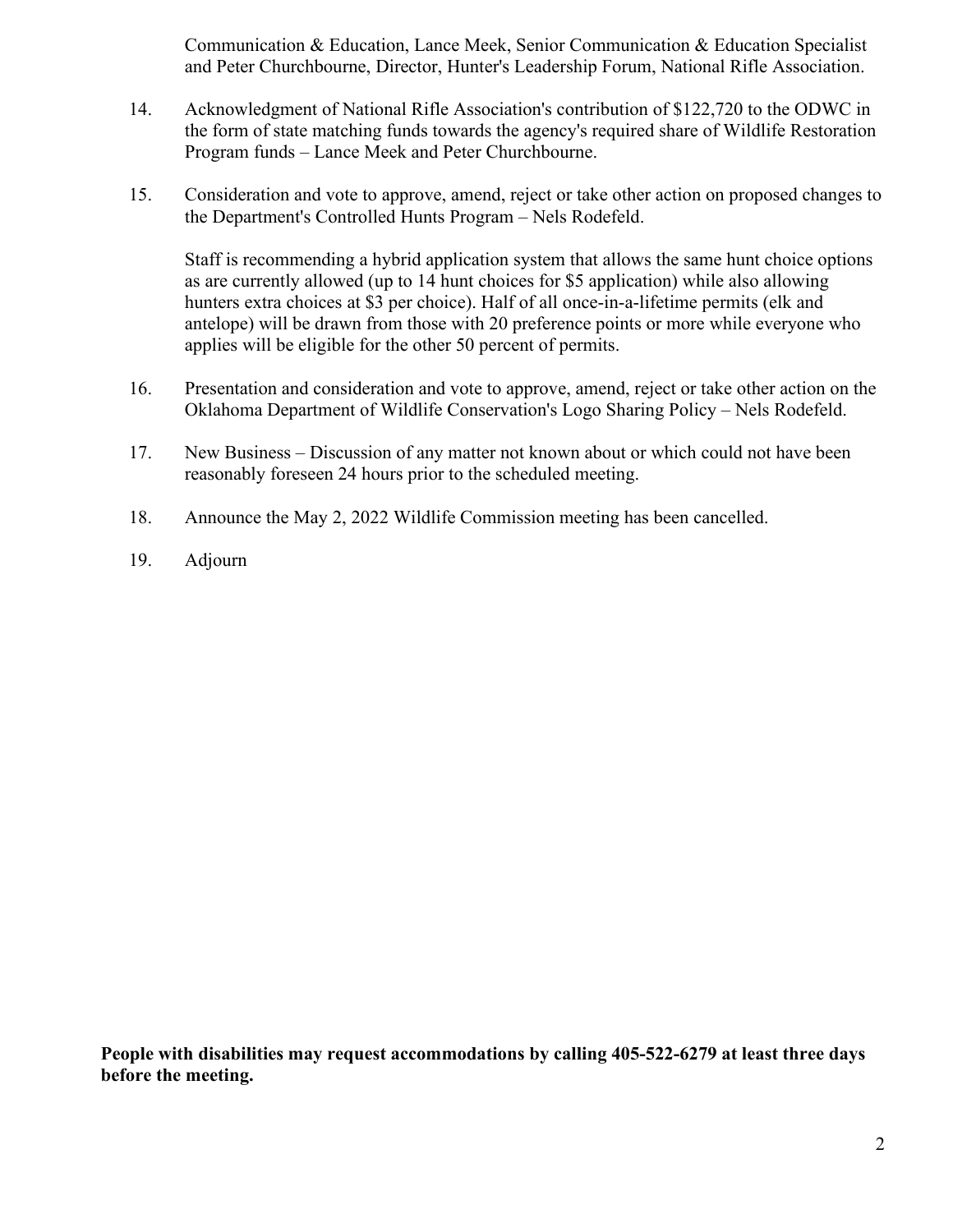Communication & Education, Lance Meek, Senior Communication & Education Specialist and Peter Churchbourne, Director, Hunter's Leadership Forum, National Rifle Association.

- 14. Acknowledgment of National Rifle Association's contribution of \$122,720 to the ODWC in the form of state matching funds towards the agency's required share of Wildlife Restoration Program funds – Lance Meek and Peter Churchbourne.
- 15. Consideration and vote to approve, amend, reject or take other action on proposed changes to the Department's Controlled Hunts Program – Nels Rodefeld.

Staff is recommending a hybrid application system that allows the same hunt choice options as are currently allowed (up to 14 hunt choices for \$5 application) while also allowing hunters extra choices at \$3 per choice). Half of all once-in-a-lifetime permits (elk and antelope) will be drawn from those with 20 preference points or more while everyone who applies will be eligible for the other 50 percent of permits.

- 16. Presentation and consideration and vote to approve, amend, reject or take other action on the Oklahoma Department of Wildlife Conservation's Logo Sharing Policy – Nels Rodefeld.
- 17. New Business Discussion of any matter not known about or which could not have been reasonably foreseen 24 hours prior to the scheduled meeting.
- 18. Announce the May 2, 2022 Wildlife Commission meeting has been cancelled.
- 19. Adjourn

**People with disabilities may request accommodations by calling 405-522-6279 at least three days before the meeting.**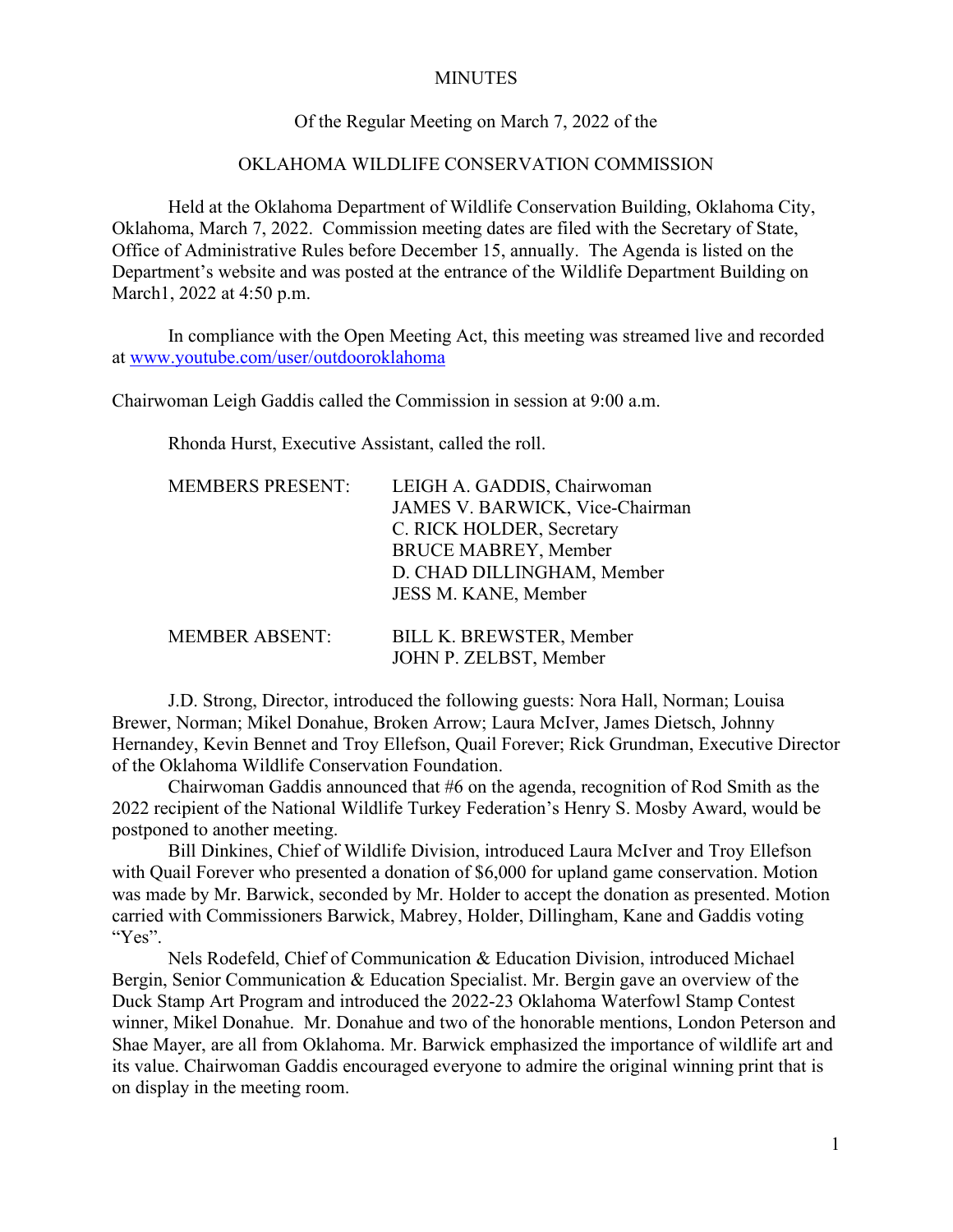#### **MINUTES**

#### Of the Regular Meeting on March 7, 2022 of the

#### OKLAHOMA WILDLIFE CONSERVATION COMMISSION

Held at the Oklahoma Department of Wildlife Conservation Building, Oklahoma City, Oklahoma, March 7, 2022. Commission meeting dates are filed with the Secretary of State, Office of Administrative Rules before December 15, annually. The Agenda is listed on the Department's website and was posted at the entrance of the Wildlife Department Building on March1, 2022 at 4:50 p.m.

In compliance with the Open Meeting Act, this meeting was streamed live and recorded at [www.youtube.com/user/outdooroklahoma](http://www.youtube.com/user/outdooroklahoma) 

Chairwoman Leigh Gaddis called the Commission in session at 9:00 a.m.

Rhonda Hurst, Executive Assistant, called the roll.

| <b>MEMBERS PRESENT:</b> | LEIGH A. GADDIS, Chairwoman<br>JAMES V. BARWICK, Vice-Chairman |
|-------------------------|----------------------------------------------------------------|
|                         | C. RICK HOLDER, Secretary                                      |
|                         | <b>BRUCE MABREY, Member</b>                                    |
|                         | D. CHAD DILLINGHAM, Member                                     |
|                         | JESS M. KANE, Member                                           |
| <b>MEMBER ABSENT:</b>   | <b>BILL K. BREWSTER, Member</b>                                |
|                         | JOHN P. ZELBST, Member                                         |

 J.D. Strong, Director, introduced the following guests: Nora Hall, Norman; Louisa Brewer, Norman; Mikel Donahue, Broken Arrow; Laura McIver, James Dietsch, Johnny Hernandey, Kevin Bennet and Troy Ellefson, Quail Forever; Rick Grundman, Executive Director of the Oklahoma Wildlife Conservation Foundation.

Chairwoman Gaddis announced that #6 on the agenda, recognition of Rod Smith as the 2022 recipient of the National Wildlife Turkey Federation's Henry S. Mosby Award, would be postponed to another meeting.

 Bill Dinkines, Chief of Wildlife Division, introduced Laura McIver and Troy Ellefson with Quail Forever who presented a donation of \$6,000 for upland game conservation. Motion was made by Mr. Barwick, seconded by Mr. Holder to accept the donation as presented. Motion carried with Commissioners Barwick, Mabrey, Holder, Dillingham, Kane and Gaddis voting "Yes".

 Nels Rodefeld, Chief of Communication & Education Division, introduced Michael Bergin, Senior Communication & Education Specialist. Mr. Bergin gave an overview of the Duck Stamp Art Program and introduced the 2022-23 Oklahoma Waterfowl Stamp Contest winner, Mikel Donahue. Mr. Donahue and two of the honorable mentions, London Peterson and Shae Mayer, are all from Oklahoma. Mr. Barwick emphasized the importance of wildlife art and its value. Chairwoman Gaddis encouraged everyone to admire the original winning print that is on display in the meeting room.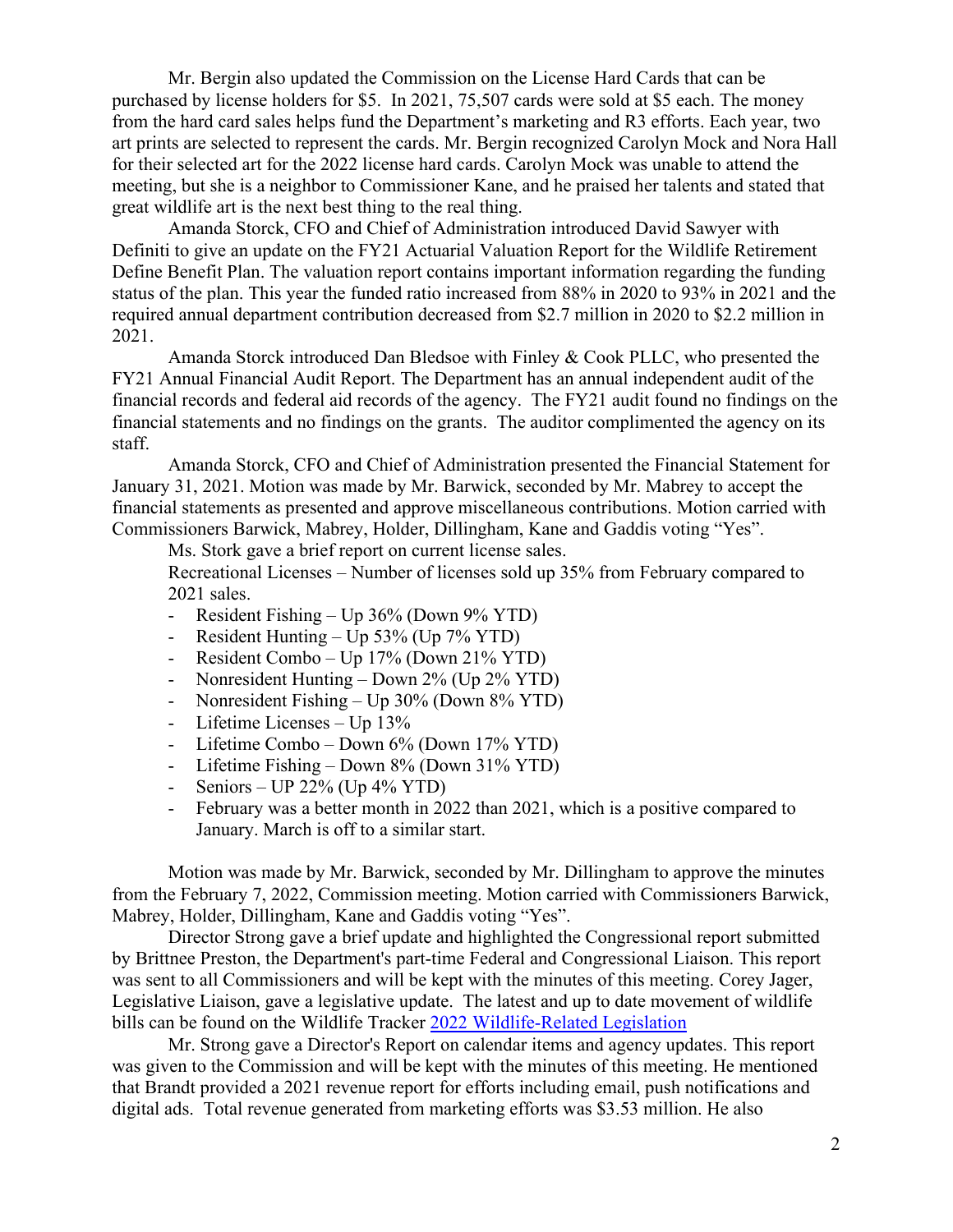Mr. Bergin also updated the Commission on the License Hard Cards that can be purchased by license holders for \$5. In 2021, 75,507 cards were sold at \$5 each. The money from the hard card sales helps fund the Department's marketing and R3 efforts. Each year, two art prints are selected to represent the cards. Mr. Bergin recognized Carolyn Mock and Nora Hall for their selected art for the 2022 license hard cards. Carolyn Mock was unable to attend the meeting, but she is a neighbor to Commissioner Kane, and he praised her talents and stated that great wildlife art is the next best thing to the real thing.

Amanda Storck, CFO and Chief of Administration introduced David Sawyer with Definiti to give an update on the FY21 Actuarial Valuation Report for the Wildlife Retirement Define Benefit Plan. The valuation report contains important information regarding the funding status of the plan. This year the funded ratio increased from 88% in 2020 to 93% in 2021 and the required annual department contribution decreased from \$2.7 million in 2020 to \$2.2 million in 2021.

 Amanda Storck introduced Dan Bledsoe with Finley & Cook PLLC, who presented the FY21 Annual Financial Audit Report. The Department has an annual independent audit of the financial records and federal aid records of the agency. The FY21 audit found no findings on the financial statements and no findings on the grants. The auditor complimented the agency on its staff.

Amanda Storck, CFO and Chief of Administration presented the Financial Statement for January 31, 2021. Motion was made by Mr. Barwick, seconded by Mr. Mabrey to accept the financial statements as presented and approve miscellaneous contributions. Motion carried with Commissioners Barwick, Mabrey, Holder, Dillingham, Kane and Gaddis voting "Yes".

Ms. Stork gave a brief report on current license sales.

Recreational Licenses – Number of licenses sold up 35% from February compared to 2021 sales.

- Resident Fishing Up 36% (Down 9% YTD)
- Resident Hunting Up 53% (Up 7% YTD)
- Resident Combo Up 17% (Down 21% YTD)
- Nonresident Hunting Down 2% (Up 2% YTD)
- Nonresident Fishing Up 30% (Down 8% YTD)
- Lifetime Licenses Up 13%
- Lifetime Combo Down 6% (Down 17% YTD)
- Lifetime Fishing Down 8% (Down 31% YTD)
- Seniors UP  $22\%$  (Up  $4\%$  YTD)
- February was a better month in 2022 than 2021, which is a positive compared to January. March is off to a similar start.

Motion was made by Mr. Barwick, seconded by Mr. Dillingham to approve the minutes from the February 7, 2022, Commission meeting. Motion carried with Commissioners Barwick, Mabrey, Holder, Dillingham, Kane and Gaddis voting "Yes".

Director Strong gave a brief update and highlighted the Congressional report submitted by Brittnee Preston, the Department's part-time Federal and Congressional Liaison. This report was sent to all Commissioners and will be kept with the minutes of this meeting. Corey Jager, Legislative Liaison, gave a legislative update. The latest and up to date movement of wildlife bills can be found on the Wildlife Tracker 2022 Wildlife-Related Legislation

Mr. Strong gave a Director's Report on calendar items and agency updates. This report was given to the Commission and will be kept with the minutes of this meeting. He mentioned that Brandt provided a 2021 revenue report for efforts including email, push notifications and digital ads. Total revenue generated from marketing efforts was \$3.53 million. He also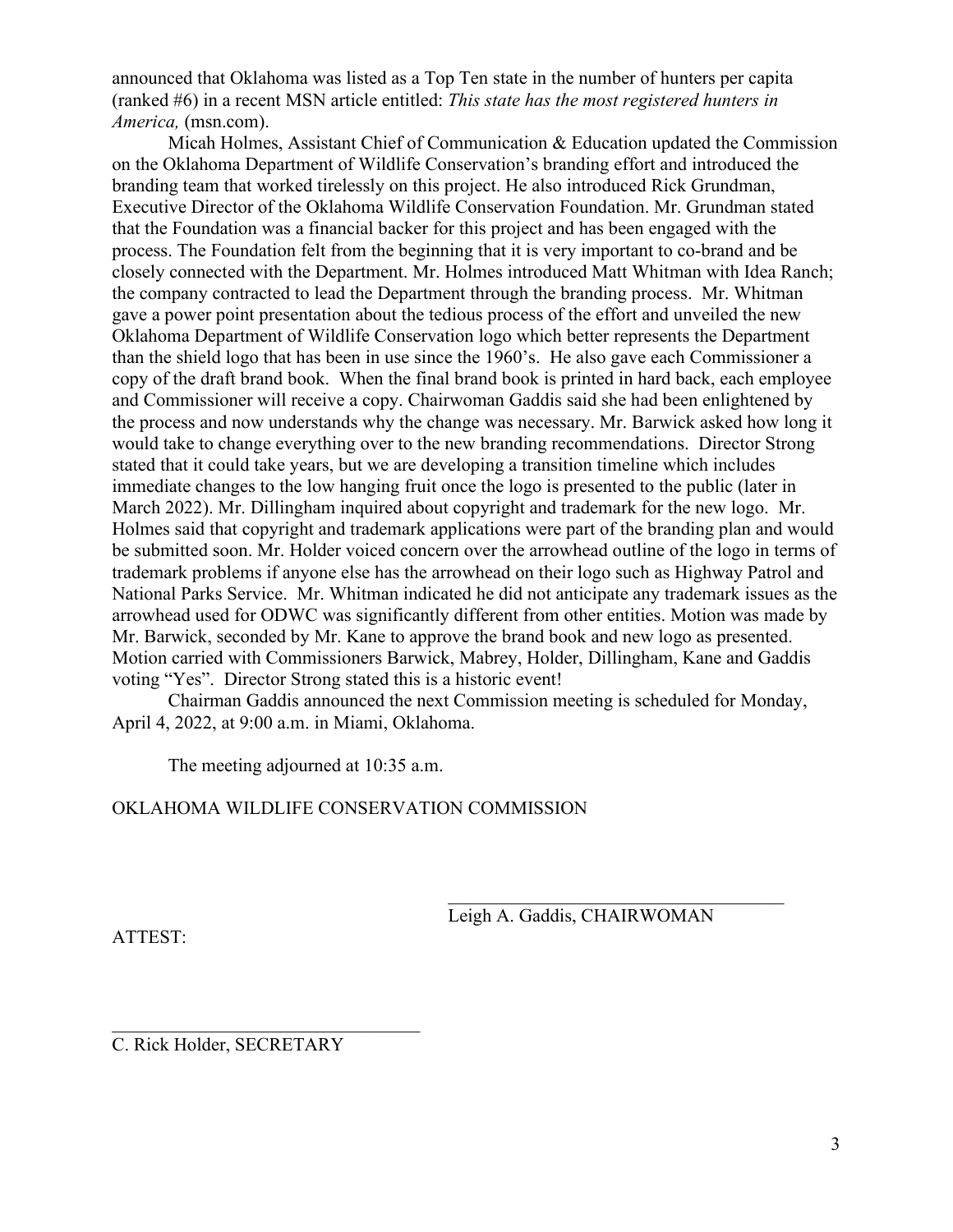announced that Oklahoma was listed as a Top Ten state in the number of hunters per capita (ranked #6) in a recent MSN article entitled: *This state has the most registered hunters in America,* (msn.com).

Micah Holmes, Assistant Chief of Communication & Education updated the Commission on the Oklahoma Department of Wildlife Conservation's branding effort and introduced the branding team that worked tirelessly on this project. He also introduced Rick Grundman, Executive Director of the Oklahoma Wildlife Conservation Foundation. Mr. Grundman stated that the Foundation was a financial backer for this project and has been engaged with the process. The Foundation felt from the beginning that it is very important to co-brand and be closely connected with the Department. Mr. Holmes introduced Matt Whitman with Idea Ranch; the company contracted to lead the Department through the branding process. Mr. Whitman gave a power point presentation about the tedious process of the effort and unveiled the new Oklahoma Department of Wildlife Conservation logo which better represents the Department than the shield logo that has been in use since the 1960's. He also gave each Commissioner a copy of the draft brand book. When the final brand book is printed in hard back, each employee and Commissioner will receive a copy. Chairwoman Gaddis said she had been enlightened by the process and now understands why the change was necessary. Mr. Barwick asked how long it would take to change everything over to the new branding recommendations. Director Strong stated that it could take years, but we are developing a transition timeline which includes immediate changes to the low hanging fruit once the logo is presented to the public (later in March 2022). Mr. Dillingham inquired about copyright and trademark for the new logo. Mr. Holmes said that copyright and trademark applications were part of the branding plan and would be submitted soon. Mr. Holder voiced concern over the arrowhead outline of the logo in terms of trademark problems if anyone else has the arrowhead on their logo such as Highway Patrol and National Parks Service. Mr. Whitman indicated he did not anticipate any trademark issues as the arrowhead used for ODWC was significantly different from other entities. Motion was made by Mr. Barwick, seconded by Mr. Kane to approve the brand book and new logo as presented. Motion carried with Commissioners Barwick, Mabrey, Holder, Dillingham, Kane and Gaddis voting "Yes". Director Strong stated this is a historic event!

Chairman Gaddis announced the next Commission meeting is scheduled for Monday, April 4, 2022, at 9:00 a.m. in Miami, Oklahoma.

The meeting adjourned at 10:35 a.m.

#### OKLAHOMA WILDLIFE CONSERVATION COMMISSION

Leigh A. Gaddis, CHAIRWOMAN

ATTEST:

 $\mathcal{L}_\mathcal{L}$  , where  $\mathcal{L}_\mathcal{L}$  , we are the set of the set of the set of the set of the set of the set of the set of the set of the set of the set of the set of the set of the set of the set of the set of the set o C. Rick Holder, SECRETARY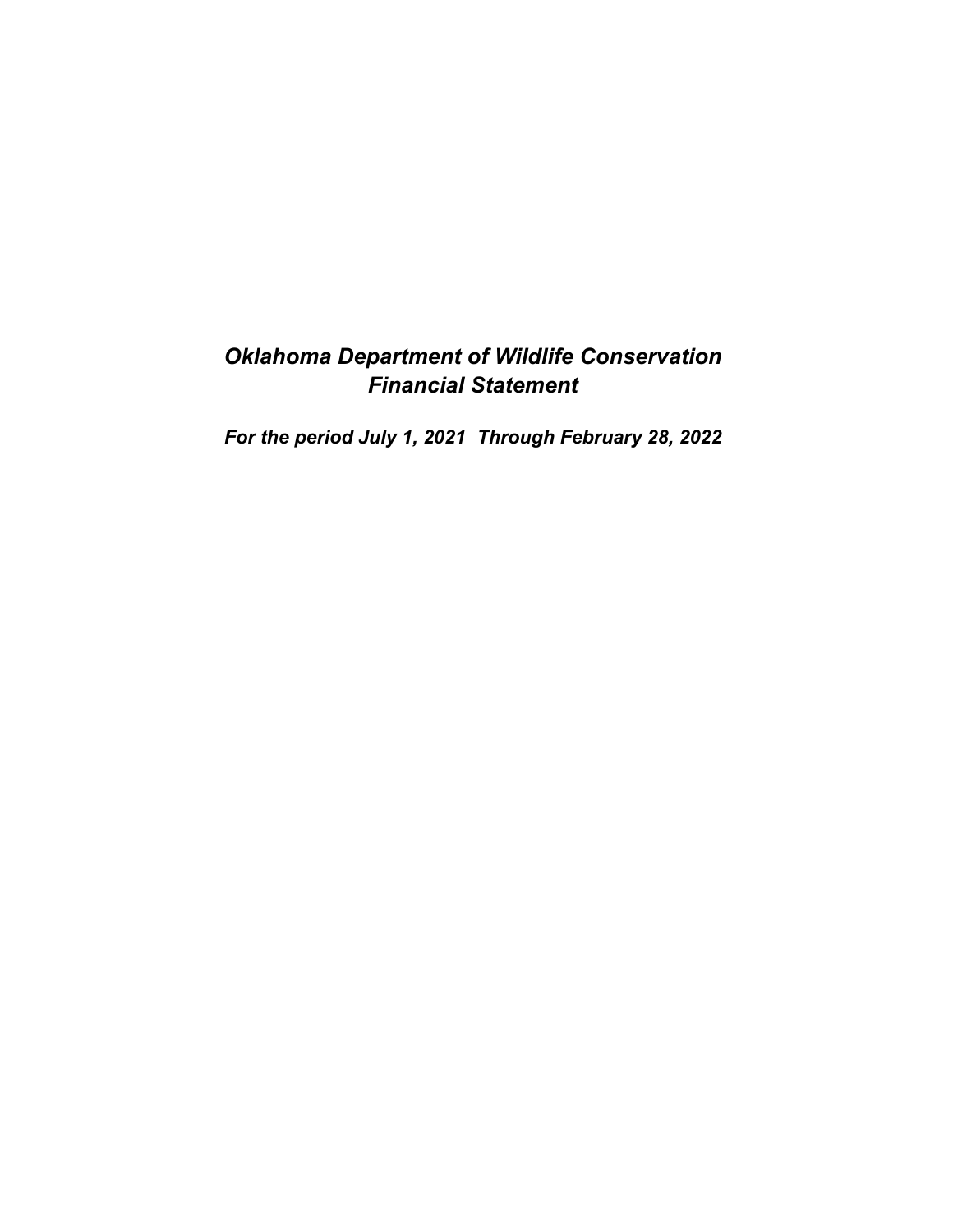# *Oklahoma Department of Wildlife Conservation Financial Statement*

*For the period July 1, 2021 Through February 28, 2022*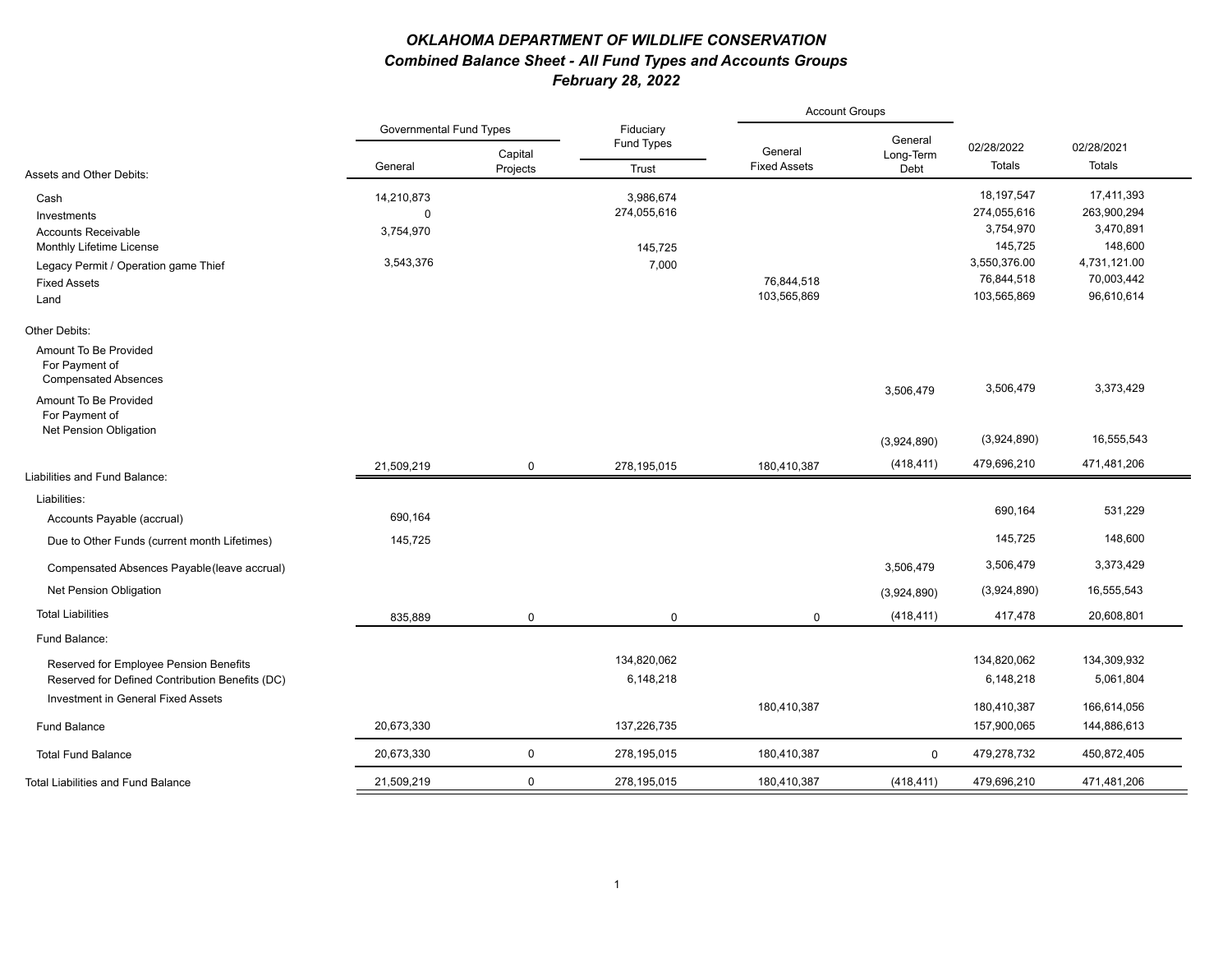#### *OKLAHOMA DEPARTMENT OF WILDLIFE CONSERVATION Combined Balance Sheet - All Fund Types and Accounts Groups February 28, 2022*

|                                                                        |             |                                |                     | <b>Account Groups</b>          |                   |              |              |
|------------------------------------------------------------------------|-------------|--------------------------------|---------------------|--------------------------------|-------------------|--------------|--------------|
|                                                                        |             | <b>Governmental Fund Types</b> |                     |                                | General           | 02/28/2022   | 02/28/2021   |
| Assets and Other Debits:                                               | General     | Capital<br>Projects            | Fund Types<br>Trust | General<br><b>Fixed Assets</b> | Long-Term<br>Debt | Totals       | Totals       |
| Cash                                                                   | 14,210,873  |                                | 3,986,674           |                                |                   | 18, 197, 547 | 17,411,393   |
| Investments                                                            | $\mathbf 0$ |                                | 274,055,616         |                                |                   | 274,055,616  | 263,900,294  |
| <b>Accounts Receivable</b>                                             | 3,754,970   |                                |                     |                                |                   | 3,754,970    | 3,470,891    |
| Monthly Lifetime License                                               |             |                                | 145,725             |                                |                   | 145,725      | 148,600      |
| Legacy Permit / Operation game Thief                                   | 3,543,376   |                                | 7,000               |                                |                   | 3,550,376.00 | 4,731,121.00 |
| <b>Fixed Assets</b>                                                    |             |                                |                     | 76,844,518                     |                   | 76,844,518   | 70,003,442   |
| Land                                                                   |             |                                |                     | 103,565,869                    |                   | 103,565,869  | 96,610,614   |
| Other Debits:                                                          |             |                                |                     |                                |                   |              |              |
| Amount To Be Provided<br>For Payment of<br><b>Compensated Absences</b> |             |                                |                     |                                |                   |              |              |
| Amount To Be Provided<br>For Payment of                                |             |                                |                     |                                | 3,506,479         | 3,506,479    | 3,373,429    |
| Net Pension Obligation                                                 |             |                                |                     |                                | (3,924,890)       | (3,924,890)  | 16,555,543   |
| Liabilities and Fund Balance:                                          | 21,509,219  | $\mathbf 0$                    | 278,195,015         | 180,410,387                    | (418, 411)        | 479,696,210  | 471,481,206  |
|                                                                        |             |                                |                     |                                |                   |              |              |
| Liabilities:                                                           |             |                                |                     |                                |                   | 690,164      | 531,229      |
| Accounts Payable (accrual)                                             | 690,164     |                                |                     |                                |                   |              |              |
| Due to Other Funds (current month Lifetimes)                           | 145,725     |                                |                     |                                |                   | 145,725      | 148,600      |
| Compensated Absences Payable (leave accrual)                           |             |                                |                     |                                | 3,506,479         | 3,506,479    | 3,373,429    |
| Net Pension Obligation                                                 |             |                                |                     |                                | (3,924,890)       | (3,924,890)  | 16,555,543   |
| <b>Total Liabilities</b>                                               | 835,889     | $\mathbf 0$                    | $\mathbf 0$         | $\mathbf 0$                    | (418, 411)        | 417,478      | 20,608,801   |
| Fund Balance:                                                          |             |                                |                     |                                |                   |              |              |
| Reserved for Employee Pension Benefits                                 |             |                                | 134,820,062         |                                |                   | 134,820,062  | 134,309,932  |
| Reserved for Defined Contribution Benefits (DC)                        |             |                                | 6,148,218           |                                |                   | 6,148,218    | 5,061,804    |
| Investment in General Fixed Assets                                     |             |                                |                     | 180,410,387                    |                   | 180,410,387  | 166,614,056  |
| <b>Fund Balance</b>                                                    | 20,673,330  |                                | 137,226,735         |                                |                   | 157,900,065  | 144,886,613  |
| <b>Total Fund Balance</b>                                              | 20,673,330  | $\mathbf 0$                    | 278,195,015         | 180,410,387                    | $\mathbf 0$       | 479,278,732  | 450,872,405  |
| <b>Total Liabilities and Fund Balance</b>                              | 21,509,219  | $\mathbf 0$                    | 278,195,015         | 180,410,387                    | (418, 411)        | 479,696,210  | 471,481,206  |
|                                                                        |             |                                |                     |                                |                   |              |              |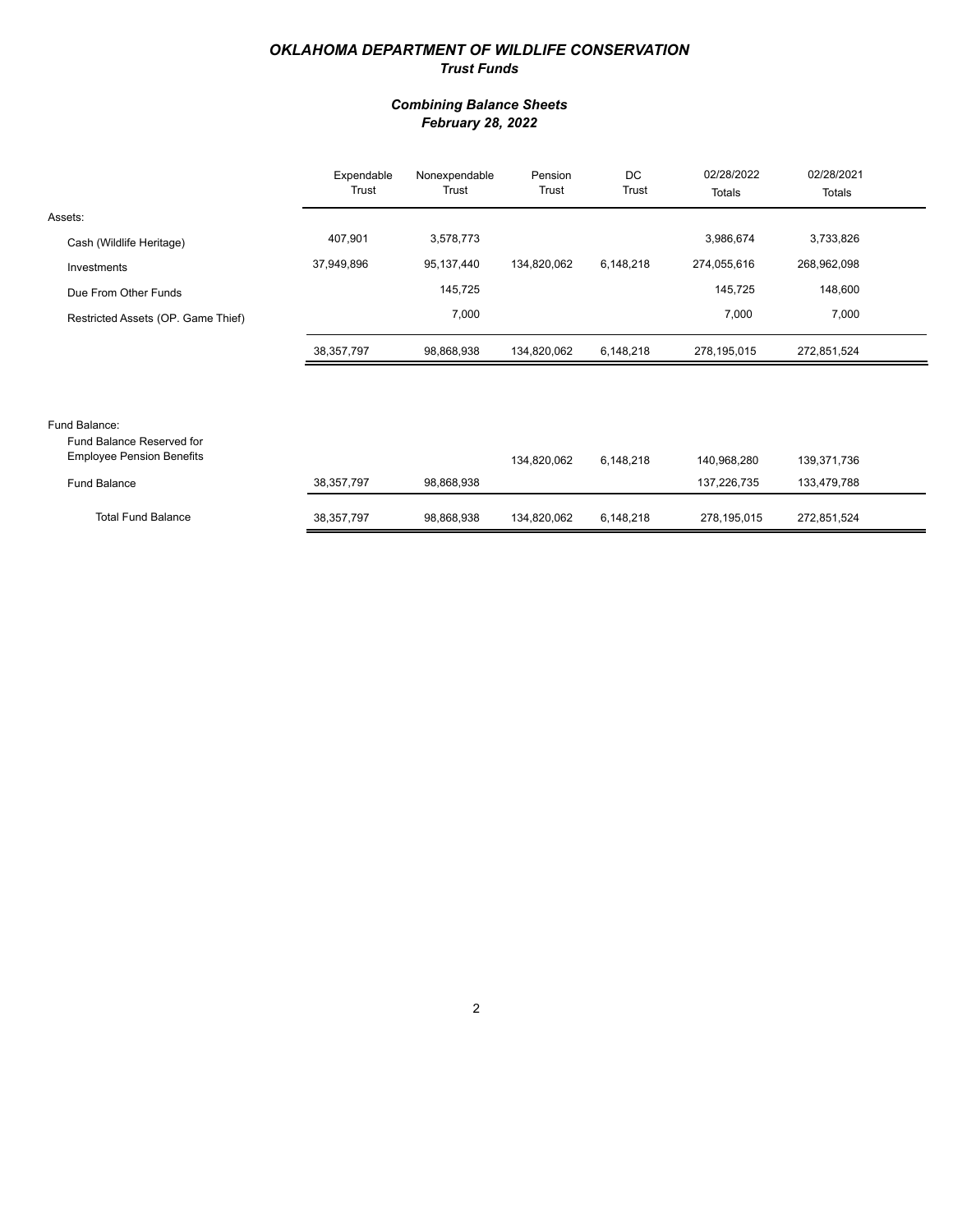#### *OKLAHOMA DEPARTMENT OF WILDLIFE CONSERVATION Trust Funds*

#### *Combining Balance Sheets February 28, 2022*

|                                    | Expendable<br>Trust | Nonexpendable<br>Trust | Pension<br>Trust | DC<br>Trust | 02/28/2022<br>Totals | 02/28/2021<br>Totals |  |
|------------------------------------|---------------------|------------------------|------------------|-------------|----------------------|----------------------|--|
| Assets:                            |                     |                        |                  |             |                      |                      |  |
| Cash (Wildlife Heritage)           | 407,901             | 3,578,773              |                  |             | 3,986,674            | 3,733,826            |  |
| Investments                        | 37,949,896          | 95,137,440             | 134,820,062      | 6,148,218   | 274,055,616          | 268,962,098          |  |
| Due From Other Funds               |                     | 145,725                |                  |             | 145,725              | 148,600              |  |
| Restricted Assets (OP. Game Thief) |                     | 7,000                  |                  |             | 7,000                | 7,000                |  |
|                                    | 38,357,797          | 98,868,938             | 134,820,062      | 6,148,218   | 278,195,015          | 272,851,524          |  |
|                                    |                     |                        |                  |             |                      |                      |  |
|                                    |                     |                        |                  |             |                      |                      |  |
| Fund Balance:                      |                     |                        |                  |             |                      |                      |  |

| Fund Balance Reserved for<br><b>Employee Pension Benefits</b> |              |            | 134.820.062 | 6.148.218 | 140.968.280 | 139,371,736 |
|---------------------------------------------------------------|--------------|------------|-------------|-----------|-------------|-------------|
| Fund Balance                                                  | 38.357.797   | 98.868.938 |             |           | 137.226.735 | 133.479.788 |
| <b>Total Fund Balance</b>                                     | 38, 357, 797 | 98.868.938 | 134.820.062 | 6.148.218 | 278.195.015 | 272,851,524 |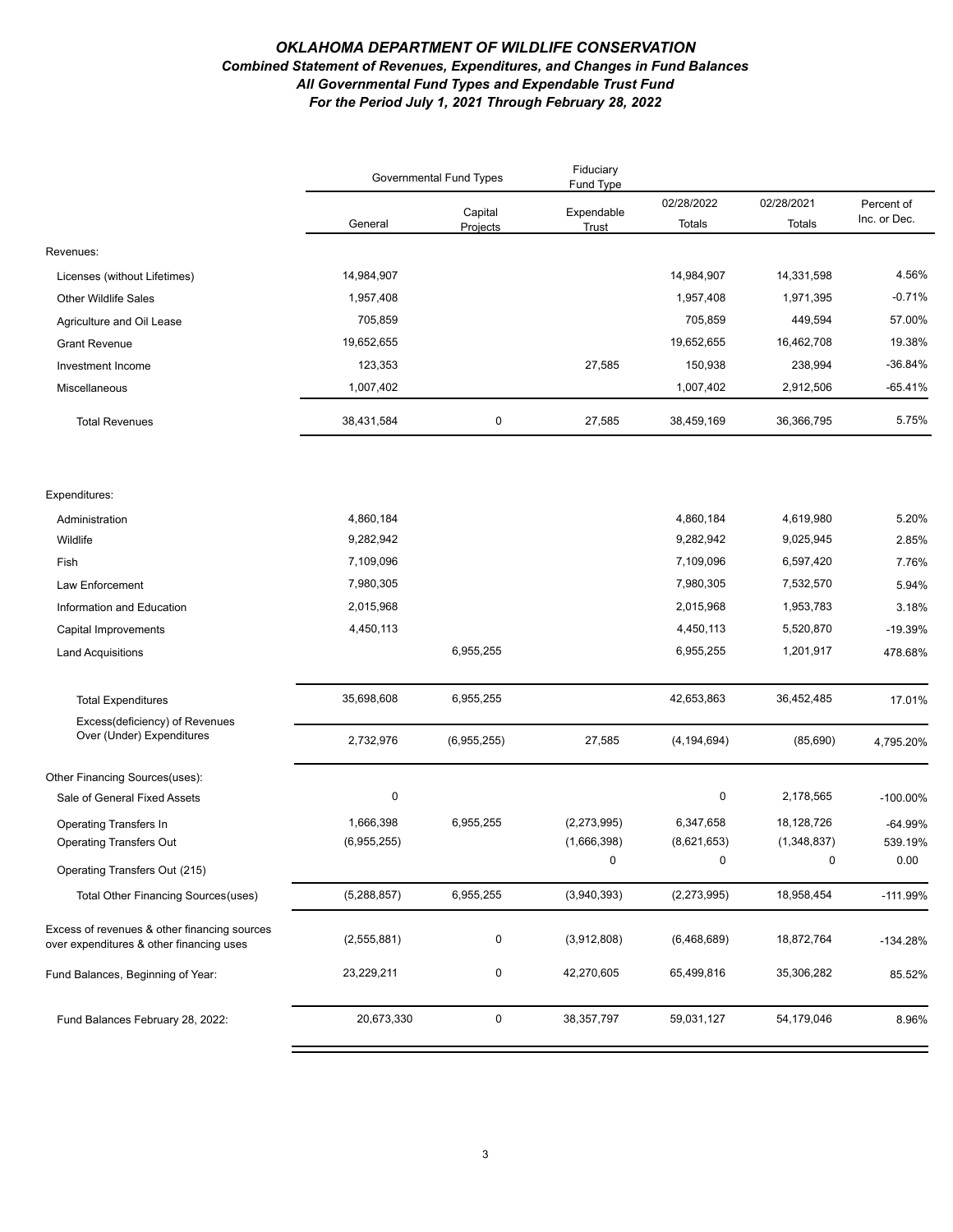#### *OKLAHOMA DEPARTMENT OF WILDLIFE CONSERVATION Combined Statement of Revenues, Expenditures, and Changes in Fund Balances All Governmental Fund Types and Expendable Trust Fund For the Period July 1, 2021 Through February 28, 2022*

|                                                                                          |                        | Governmental Fund Types | Fiduciary<br>Fund Type |                        |                        |                            |
|------------------------------------------------------------------------------------------|------------------------|-------------------------|------------------------|------------------------|------------------------|----------------------------|
|                                                                                          | General                | Capital<br>Projects     | Expendable<br>Trust    | 02/28/2022<br>Totals   | 02/28/2021<br>Totals   | Percent of<br>Inc. or Dec. |
| Revenues:                                                                                |                        |                         |                        |                        |                        |                            |
| Licenses (without Lifetimes)                                                             | 14,984,907             |                         |                        | 14,984,907             | 14,331,598             | 4.56%                      |
| Other Wildlife Sales                                                                     | 1,957,408              |                         |                        | 1,957,408              | 1,971,395              | $-0.71%$                   |
| Agriculture and Oil Lease                                                                | 705,859                |                         |                        | 705,859                | 449,594                | 57.00%                     |
| <b>Grant Revenue</b>                                                                     | 19,652,655             |                         |                        | 19,652,655             | 16,462,708             | 19.38%                     |
| Investment Income                                                                        | 123,353                |                         | 27,585                 | 150,938                | 238,994                | $-36.84%$                  |
| Miscellaneous                                                                            | 1,007,402              |                         |                        | 1,007,402              | 2,912,506              | $-65.41%$                  |
| <b>Total Revenues</b>                                                                    | 38,431,584             | 0                       | 27,585                 | 38,459,169             | 36,366,795             | 5.75%                      |
|                                                                                          |                        |                         |                        |                        |                        |                            |
| Expenditures:                                                                            |                        |                         |                        |                        |                        |                            |
| Administration<br>Wildlife                                                               | 4,860,184<br>9,282,942 |                         |                        | 4,860,184<br>9,282,942 | 4,619,980<br>9,025,945 | 5.20%<br>2.85%             |
| Fish                                                                                     | 7,109,096              |                         |                        | 7,109,096              | 6,597,420              | 7.76%                      |
| Law Enforcement                                                                          | 7,980,305              |                         |                        | 7,980,305              | 7,532,570              | 5.94%                      |
| Information and Education                                                                | 2,015,968              |                         |                        | 2,015,968              | 1,953,783              | 3.18%                      |
| Capital Improvements                                                                     | 4,450,113              |                         |                        | 4,450,113              | 5,520,870              | $-19.39%$                  |
| <b>Land Acquisitions</b>                                                                 |                        | 6,955,255               |                        | 6,955,255              | 1,201,917              | 478.68%                    |
|                                                                                          |                        |                         |                        |                        |                        |                            |
| <b>Total Expenditures</b>                                                                | 35,698,608             | 6,955,255               |                        | 42,653,863             | 36,452,485             | 17.01%                     |
| Excess(deficiency) of Revenues                                                           |                        |                         |                        |                        |                        |                            |
| Over (Under) Expenditures                                                                | 2,732,976              | (6,955,255)             | 27,585                 | (4, 194, 694)          | (85, 690)              | 4,795.20%                  |
| Other Financing Sources(uses):                                                           |                        |                         |                        |                        |                        |                            |
| Sale of General Fixed Assets                                                             | $\pmb{0}$              |                         |                        | 0                      | 2,178,565              | $-100.00\%$                |
| <b>Operating Transfers In</b>                                                            | 1,666,398              | 6,955,255               | (2,273,995)            | 6,347,658              | 18,128,726             | -64.99%                    |
| <b>Operating Transfers Out</b>                                                           | (6,955,255)            |                         | (1,666,398)            | (8,621,653)            | (1,348,837)            | 539.19%                    |
| Operating Transfers Out (215)                                                            |                        |                         | $\Omega$               | $\Omega$               | $\mathbf{0}$           | 0.00                       |
| Total Other Financing Sources (uses)                                                     | (5,288,857)            | 6,955,255               | (3,940,393)            | (2,273,995)            | 18,958,454             | $-111.99%$                 |
| Excess of revenues & other financing sources<br>over expenditures & other financing uses | (2,555,881)            | 0                       | (3,912,808)            | (6,468,689)            | 18,872,764             | $-134.28%$                 |
| Fund Balances, Beginning of Year:                                                        | 23,229,211             | 0                       | 42,270,605             | 65,499,816             | 35,306,282             | 85.52%                     |
| Fund Balances February 28, 2022:                                                         | 20,673,330             | $\mathbf 0$             | 38, 357, 797           | 59,031,127             | 54,179,046             | 8.96%                      |
|                                                                                          |                        |                         |                        |                        |                        |                            |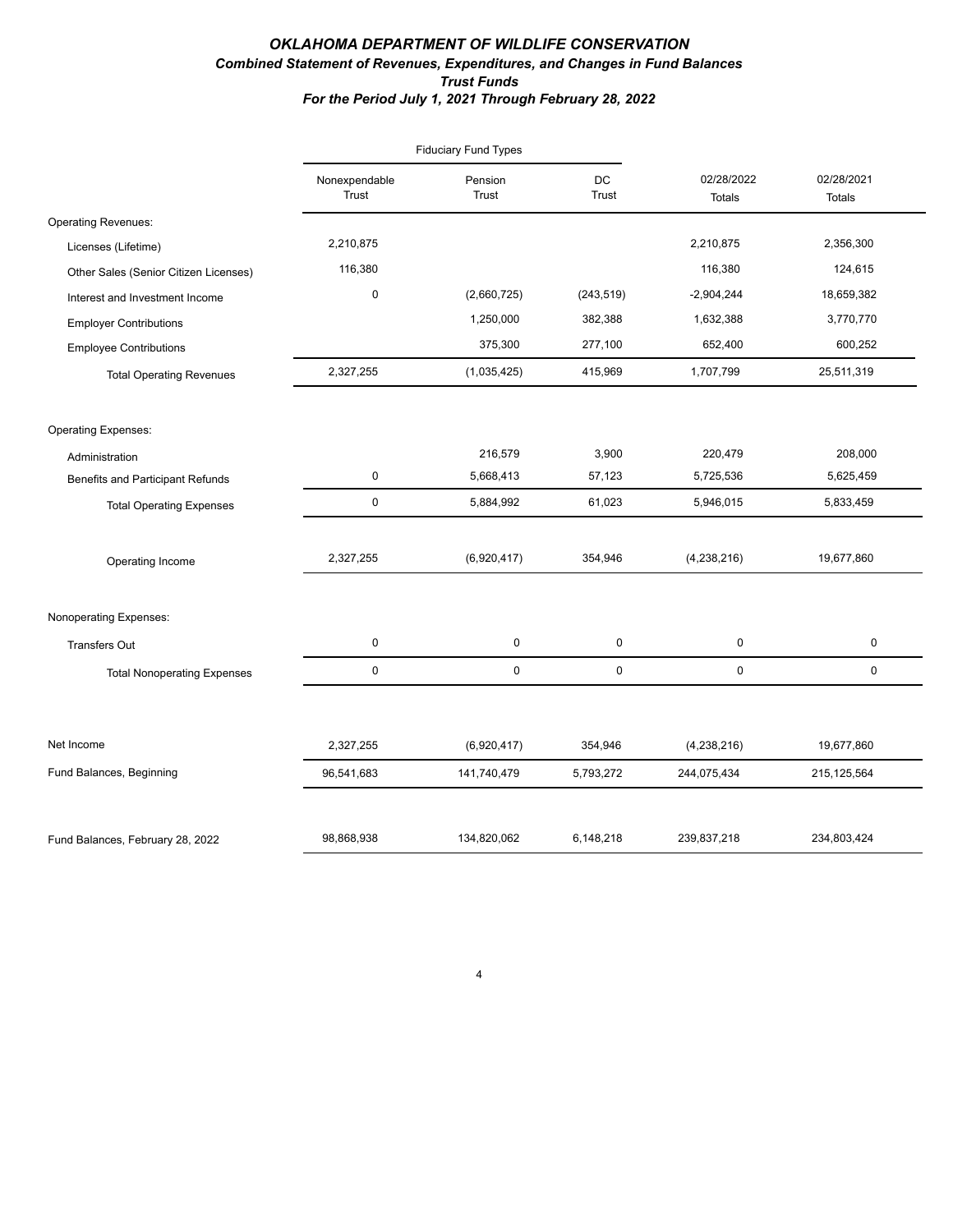#### *OKLAHOMA DEPARTMENT OF WILDLIFE CONSERVATION Combined Statement of Revenues, Expenditures, and Changes in Fund Balances Trust Funds For the Period July 1, 2021 Through February 28, 2022*

|                                       |                        | <b>Fiduciary Fund Types</b> |                    |                             |                             |
|---------------------------------------|------------------------|-----------------------------|--------------------|-----------------------------|-----------------------------|
|                                       | Nonexpendable<br>Trust | Pension<br>Trust            | DC<br><b>Trust</b> | 02/28/2022<br><b>Totals</b> | 02/28/2021<br><b>Totals</b> |
| <b>Operating Revenues:</b>            |                        |                             |                    |                             |                             |
| Licenses (Lifetime)                   | 2,210,875              |                             |                    | 2,210,875                   | 2,356,300                   |
| Other Sales (Senior Citizen Licenses) | 116,380                |                             |                    | 116,380                     | 124,615                     |
| Interest and Investment Income        | $\pmb{0}$              | (2,660,725)                 | (243, 519)         | $-2,904,244$                | 18,659,382                  |
| <b>Employer Contributions</b>         |                        | 1,250,000                   | 382,388            | 1,632,388                   | 3,770,770                   |
| <b>Employee Contributions</b>         |                        | 375,300                     | 277,100            | 652,400                     | 600,252                     |
| <b>Total Operating Revenues</b>       | 2,327,255              | (1,035,425)                 | 415,969            | 1,707,799                   | 25,511,319                  |
| <b>Operating Expenses:</b>            |                        |                             |                    |                             |                             |
| Administration                        |                        | 216,579                     | 3,900              | 220,479                     | 208,000                     |
| Benefits and Participant Refunds      | $\mathbf 0$            | 5,668,413                   | 57,123             | 5,725,536                   | 5,625,459                   |
| <b>Total Operating Expenses</b>       | $\mathsf 0$            | 5,884,992                   | 61,023             | 5,946,015                   | 5,833,459                   |
| Operating Income                      | 2,327,255              | (6,920,417)                 | 354,946            | (4,238,216)                 | 19,677,860                  |
| Nonoperating Expenses:                |                        |                             |                    |                             |                             |
| <b>Transfers Out</b>                  | 0                      | 0                           | 0                  | $\pmb{0}$                   | 0                           |
| <b>Total Nonoperating Expenses</b>    | $\mathsf 0$            | 0                           | 0                  | 0                           | 0                           |
| Net Income                            | 2,327,255              | (6,920,417)                 | 354,946            | (4,238,216)                 | 19,677,860                  |
|                                       |                        |                             |                    |                             |                             |
| Fund Balances, Beginning              | 96,541,683             | 141,740,479                 | 5,793,272          | 244,075,434                 | 215, 125, 564               |
| Fund Balances, February 28, 2022      | 98,868,938             | 134,820,062                 | 6,148,218          | 239,837,218                 | 234,803,424                 |

4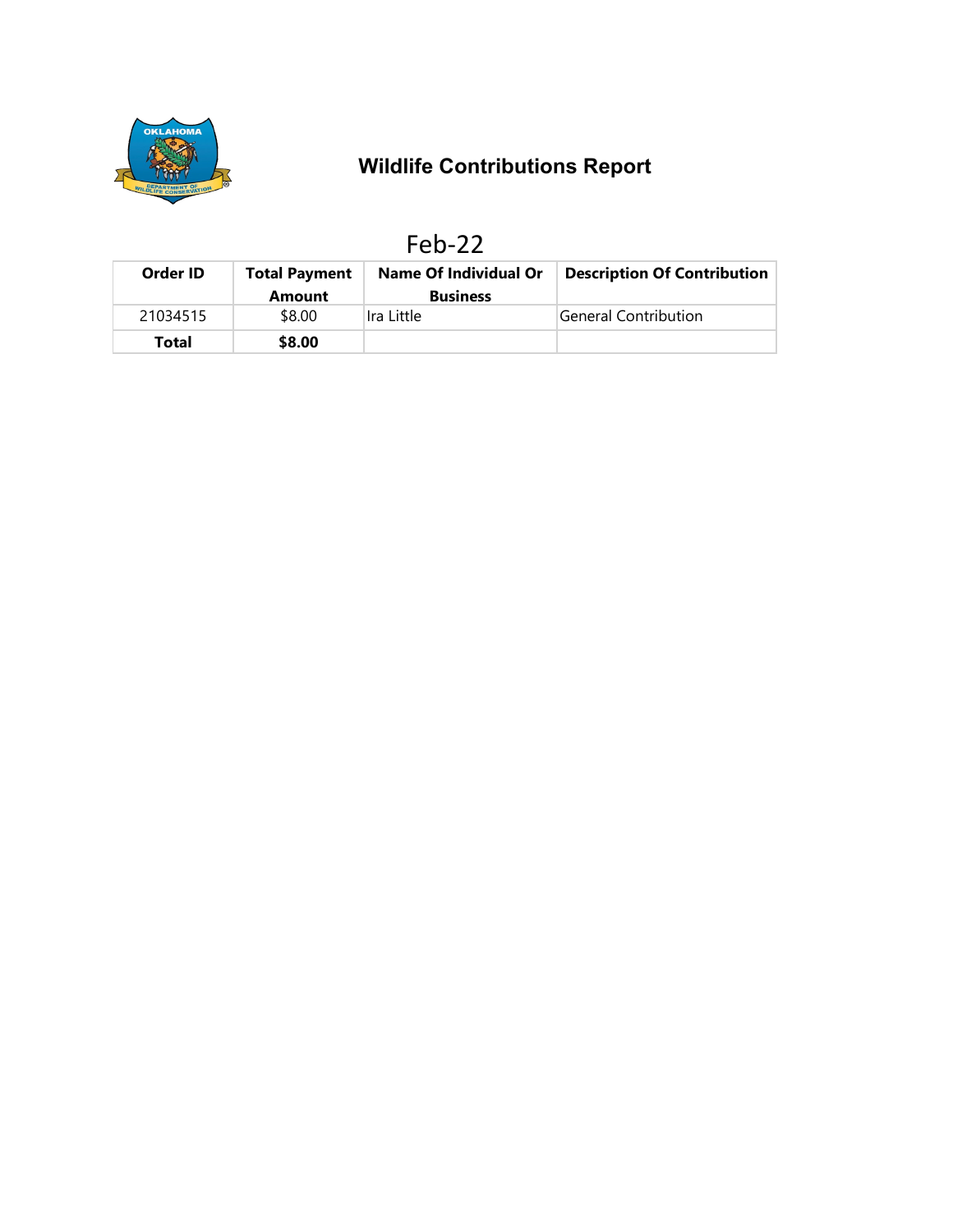

# **Wildlife Contributions Report**

|--|

| Order ID | <b>Total Payment</b> | <b>Name Of Individual Or</b>  | <b>Description Of Contribution</b> |
|----------|----------------------|-------------------------------|------------------------------------|
| 21034515 | Amount<br>\$8.00     | <b>Business</b><br>Ira Little | General Contribution               |
| Total    | \$8.00               |                               |                                    |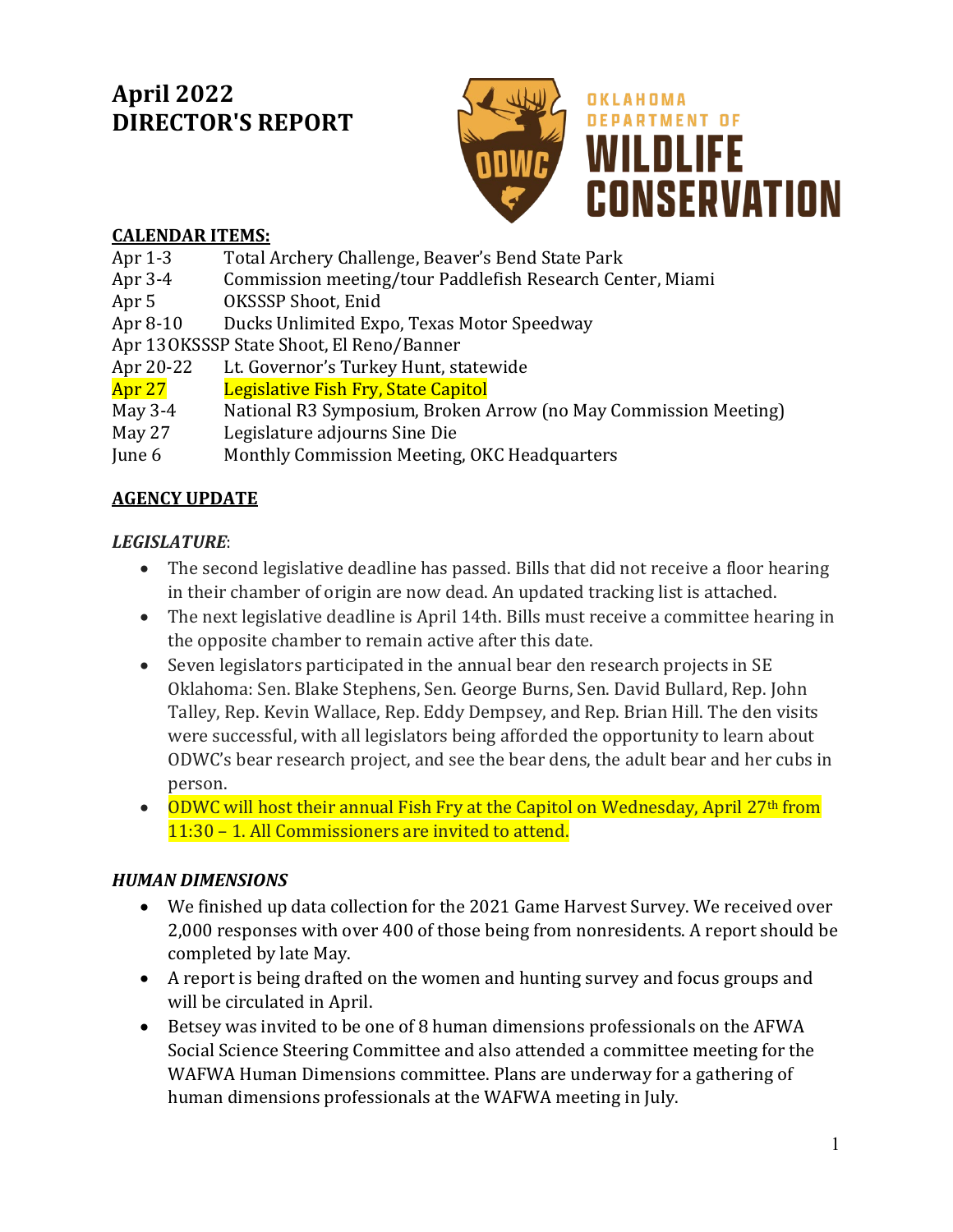# **April 2022 DIRECTOR'S REPORT**



## **CALENDAR ITEMS:**

- Apr 1-3 Total Archery Challenge, Beaver's Bend State Park<br>Apr 3-4 Commission meeting/tour Paddlefish Research Cen
- Apr 3-4 Commission meeting/tour Paddlefish Research Center, Miami<br>Apr 5 0KSSSP Shoot, Enid
- 
- Apr 5 OKSSSP Shoot, Enid<br>Apr 8-10 Ducks Unlimited Exp Ducks Unlimited Expo, Texas Motor Speedway

Apr 13 OKSSSP State Shoot, El Reno/Banner<br>Apr 20-22 Lt. Governor's Turkey Hunt, st

Apr 20-22 Lt. Governor's Turkey Hunt, statewide<br>**Apr 27** Legislative Fish Fry, State Capitol

# Apr 27 **Legislative Fish Fry, State Capitol**<br>May 3-4 Mational R3 Symposium, Broken A

- May 3-4 National R3 Symposium, Broken Arrow (no May Commission Meeting)<br>May 27 Legislature adiourns Sine Die
- May 27 Legislature adjourns Sine Die<br>
June 6 Monthly Commission Meeting
- Monthly Commission Meeting, OKC Headquarters

## **AGENCY UPDATE**

## *LEGISLATURE*:

- The second legislative deadline has passed. Bills that did not receive a floor hearing in their chamber of origin are now dead. An updated tracking list is attached.
- The next legislative deadline is April 14th. Bills must receive a committee hearing in the opposite chamber to remain active after this date.
- Seven legislators participated in the annual bear den research projects in SE Oklahoma: Sen. Blake Stephens, Sen. George Burns, Sen. David Bullard, Rep. John Talley, Rep. Kevin Wallace, Rep. Eddy Dempsey, and Rep. Brian Hill. The den visits were successful, with all legislators being afforded the opportunity to learn about ODWC's bear research project, and see the bear dens, the adult bear and her cubs in person.
- ODWC will host their annual Fish Fry at the Capitol on Wednesday, April 27<sup>th</sup> from 11:30 – 1. All Commissioners are invited to attend.

## *HUMAN DIMENSIONS*

- We finished up data collection for the 2021 Game Harvest Survey. We received over 2,000 responses with over 400 of those being from nonresidents. A report should be completed by late May.
- A report is being drafted on the women and hunting survey and focus groups and will be circulated in April.
- Betsey was invited to be one of 8 human dimensions professionals on the AFWA Social Science Steering Committee and also attended a committee meeting for the WAFWA Human Dimensions committee. Plans are underway for a gathering of human dimensions professionals at the WAFWA meeting in July.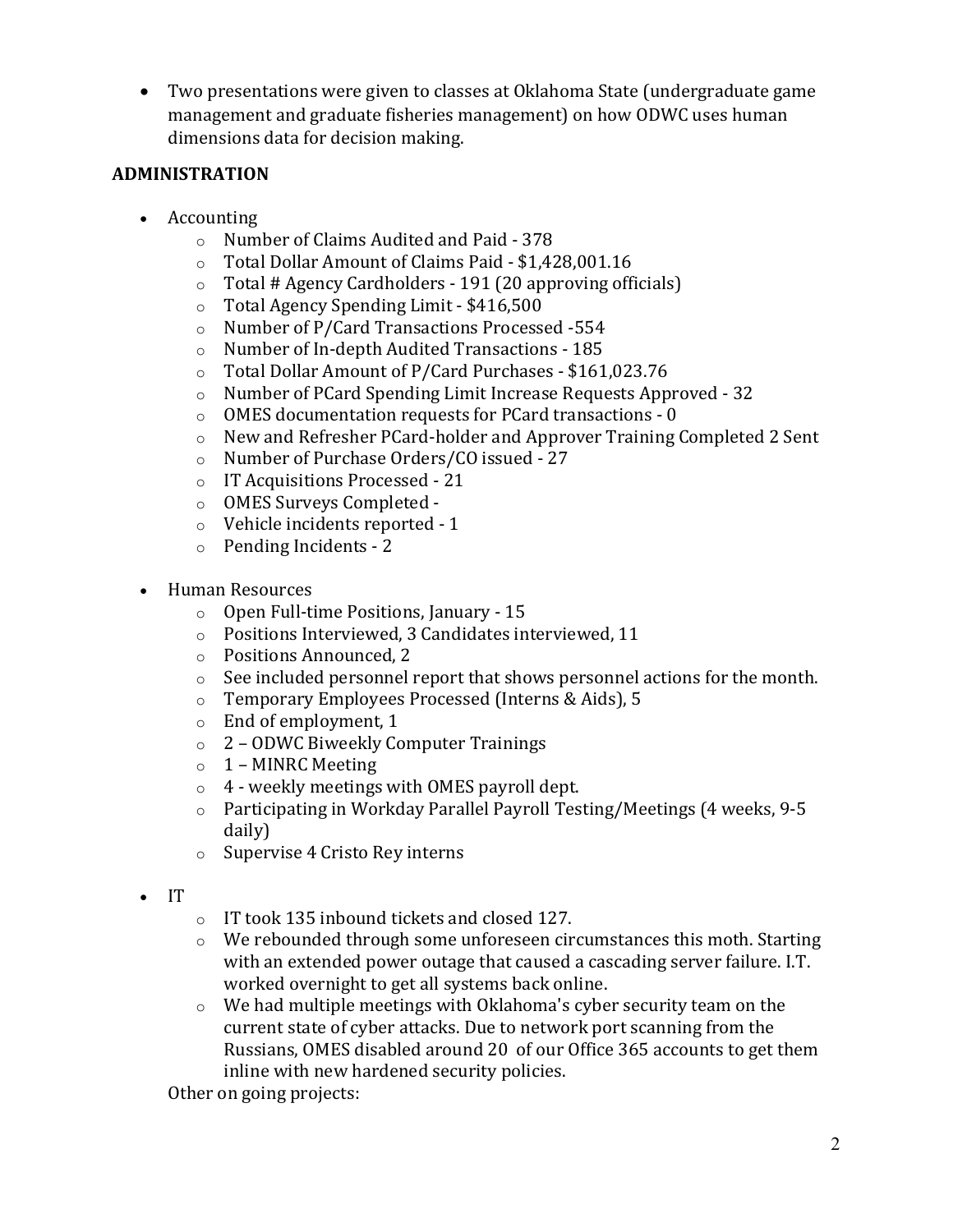• Two presentations were given to classes at Oklahoma State (undergraduate game management and graduate fisheries management) on how ODWC uses human dimensions data for decision making.

### **ADMINISTRATION**

- Accounting
	- o Number of Claims Audited and Paid 378
	- o Total Dollar Amount of Claims Paid \$1,428,001.16
	- $\circ$  Total # Agency Cardholders 191 (20 approving officials)<br> $\circ$  Total Agency Spending Limit \$416.500
	- o Total Agency Spending Limit \$416,500
	- Number of P/Card Transactions Processed -554
	- o Number of In-depth Audited Transactions 185<br>
	o Total Dollar Amount of P/Card Purchases \$161
	- o Total Dollar Amount of P/Card Purchases \$161,023.76
	- Number of PCard Spending Limit Increase Requests Approved 32
	- $\circ$  OMES documentation requests for PCard transactions 0<br> $\circ$  New and Refresher PCard-holder and Approver Training (
	- New and Refresher PCard-holder and Approver Training Completed 2 Sent
	- o Number of Purchase Orders/CO issued 27
	- o IT Acquisitions Processed 21
	- o OMES Surveys Completed -
	- o Vehicle incidents reported 1
	- o Pending Incidents 2
- Human Resources
	- o Open Full-time Positions, January 15
	- o Positions Interviewed, 3 Candidates interviewed, 11
	- o Positions Announced, 2
	- o See included personnel report that shows personnel actions for the month.
	- o Temporary Employees Processed (Interns & Aids), 5
	- o End of employment, 1
	- o 2 ODWC Biweekly Computer Trainings
	- $\circ$  1 MINRC Meeting
	- o 4 weekly meetings with OMES payroll dept.
	- o Participating in Workday Parallel Payroll Testing/Meetings (4 weeks, 9-5 daily)
	- o Supervise 4 Cristo Rey interns
- IT
- o IT took 135 inbound tickets and closed 127.
- $\circ$  We rebounded through some unforeseen circumstances this moth. Starting with an extended power outage that caused a cascading server failure. I.T. worked overnight to get all systems back online.
- o We had multiple meetings with Oklahoma's cyber security team on the current state of cyber attacks. Due to network port scanning from the Russians, OMES disabled around 20 of our Office 365 accounts to get them inline with new hardened security policies.

Other on going projects: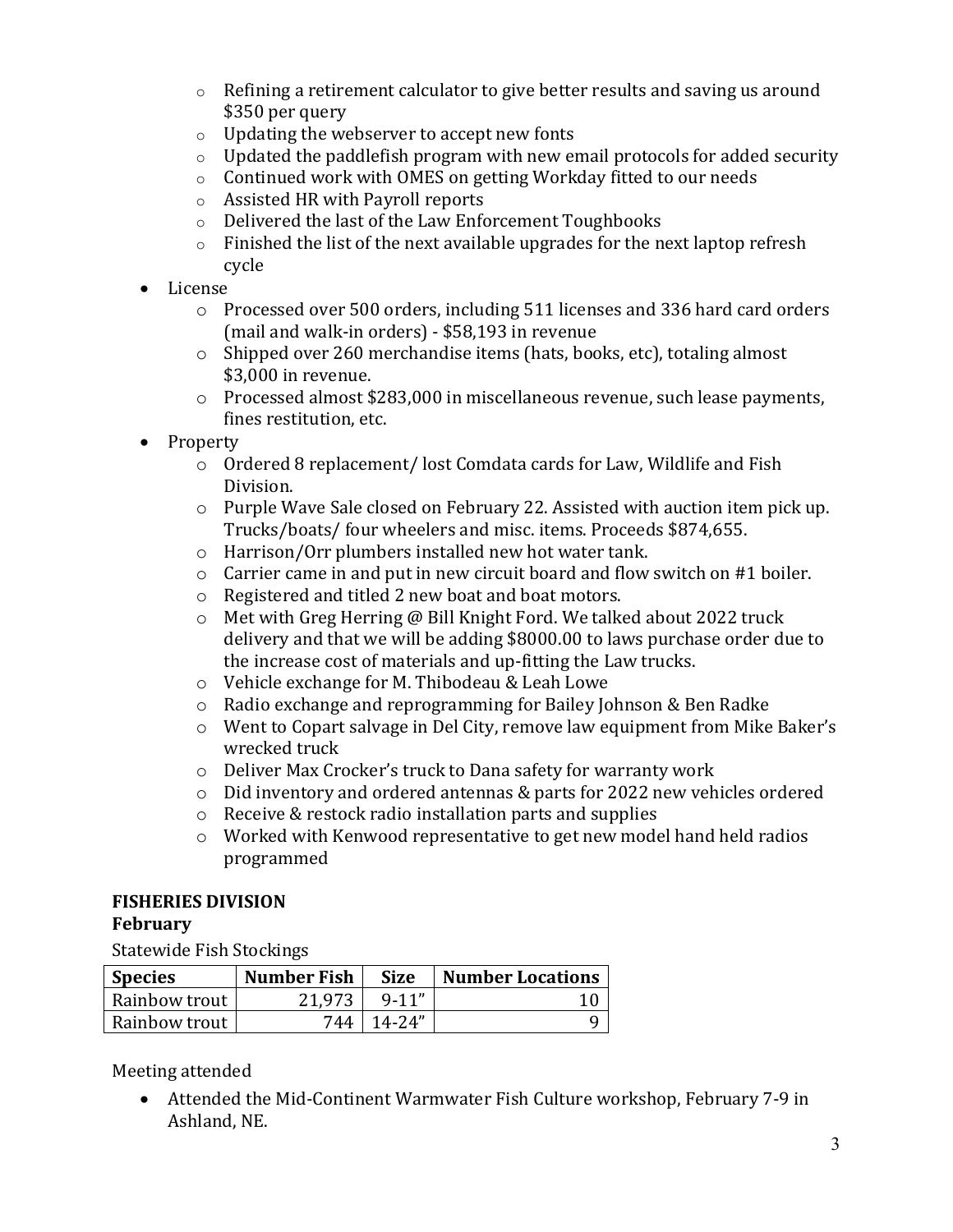- $\circ$  Refining a retirement calculator to give better results and saving us around \$350 per query
- o Updating the webserver to accept new fonts
- $\circ$  Updated the paddlefish program with new email protocols for added security  $\circ$  Continued work with OMES on getting Workday fitted to our needs
- Continued work with OMES on getting Workday fitted to our needs
- o Assisted HR with Payroll reports
- o Delivered the last of the Law Enforcement Toughbooks
- $\circ$  Finished the list of the next available upgrades for the next laptop refresh cycle
- License
	- o Processed over 500 orders, including 511 licenses and 336 hard card orders (mail and walk-in orders) - \$58,193 in revenue
	- o Shipped over 260 merchandise items (hats, books, etc), totaling almost \$3,000 in revenue.
	- o Processed almost \$283,000 in miscellaneous revenue, such lease payments, fines restitution, etc.
- Property
	- o Ordered 8 replacement/ lost Comdata cards for Law, Wildlife and Fish Division.
	- o Purple Wave Sale closed on February 22. Assisted with auction item pick up. Trucks/boats/ four wheelers and misc. items. Proceeds \$874,655.
	- o Harrison/Orr plumbers installed new hot water tank.
	- o Carrier came in and put in new circuit board and flow switch on #1 boiler.
	- o Registered and titled 2 new boat and boat motors.
	- o Met with Greg Herring @ Bill Knight Ford. We talked about 2022 truck delivery and that we will be adding \$8000.00 to laws purchase order due to the increase cost of materials and up-fitting the Law trucks.
	- o Vehicle exchange for M. Thibodeau & Leah Lowe
	- o Radio exchange and reprogramming for Bailey Johnson & Ben Radke
	- o Went to Copart salvage in Del City, remove law equipment from Mike Baker's wrecked truck
	- o Deliver Max Crocker's truck to Dana safety for warranty work
	- o Did inventory and ordered antennas & parts for 2022 new vehicles ordered
	- o Receive & restock radio installation parts and supplies
	- o Worked with Kenwood representative to get new model hand held radios programmed

# **FISHERIES DIVISION**

#### **February**

Statewide Fish Stockings

| <b>Species</b> | <b>Number Fish</b> | <b>Size</b> | <b>Number Locations</b> |
|----------------|--------------------|-------------|-------------------------|
| Rainbow trout  | 21.973             | $9 - 11''$  |                         |
| Rainbow trout  | 744                | $14-74"$    |                         |

Meeting attended

• Attended the Mid-Continent Warmwater Fish Culture workshop, February 7-9 in Ashland, NE.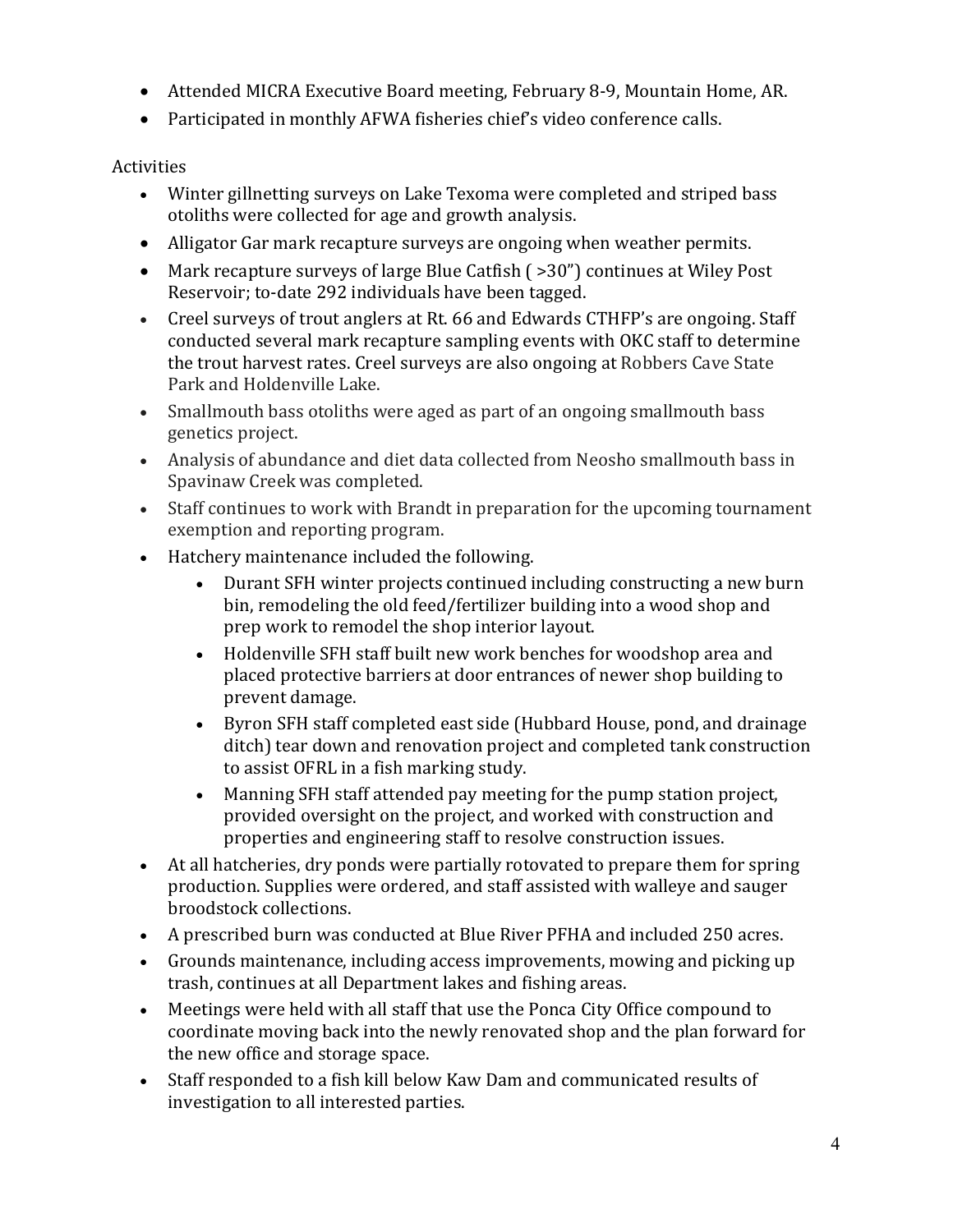- Attended MICRA Executive Board meeting, February 8-9, Mountain Home, AR.
- Participated in monthly AFWA fisheries chief's video conference calls.

#### Activities

- Winter gillnetting surveys on Lake Texoma were completed and striped bass otoliths were collected for age and growth analysis.
- Alligator Gar mark recapture surveys are ongoing when weather permits.
- Mark recapture surveys of large Blue Catfish ( >30") continues at Wiley Post Reservoir; to-date 292 individuals have been tagged.
- Creel surveys of trout anglers at Rt. 66 and Edwards CTHFP's are ongoing. Staff conducted several mark recapture sampling events with OKC staff to determine the trout harvest rates. Creel surveys are also ongoing at Robbers Cave State Park and Holdenville Lake.
- Smallmouth bass otoliths were aged as part of an ongoing smallmouth bass genetics project.
- Analysis of abundance and diet data collected from Neosho smallmouth bass in Spavinaw Creek was completed.
- Staff continues to work with Brandt in preparation for the upcoming tournament exemption and reporting program.
- Hatchery maintenance included the following.
	- Durant SFH winter projects continued including constructing a new burn bin, remodeling the old feed/fertilizer building into a wood shop and prep work to remodel the shop interior layout.
	- Holdenville SFH staff built new work benches for woodshop area and placed protective barriers at door entrances of newer shop building to prevent damage.
	- Byron SFH staff completed east side (Hubbard House, pond, and drainage ditch) tear down and renovation project and completed tank construction to assist OFRL in a fish marking study.
	- Manning SFH staff attended pay meeting for the pump station project, provided oversight on the project, and worked with construction and properties and engineering staff to resolve construction issues.
- At all hatcheries, dry ponds were partially rotovated to prepare them for spring production. Supplies were ordered, and staff assisted with walleye and sauger broodstock collections.
- A prescribed burn was conducted at Blue River PFHA and included 250 acres.
- Grounds maintenance, including access improvements, mowing and picking up trash, continues at all Department lakes and fishing areas.
- Meetings were held with all staff that use the Ponca City Office compound to coordinate moving back into the newly renovated shop and the plan forward for the new office and storage space.
- Staff responded to a fish kill below Kaw Dam and communicated results of investigation to all interested parties.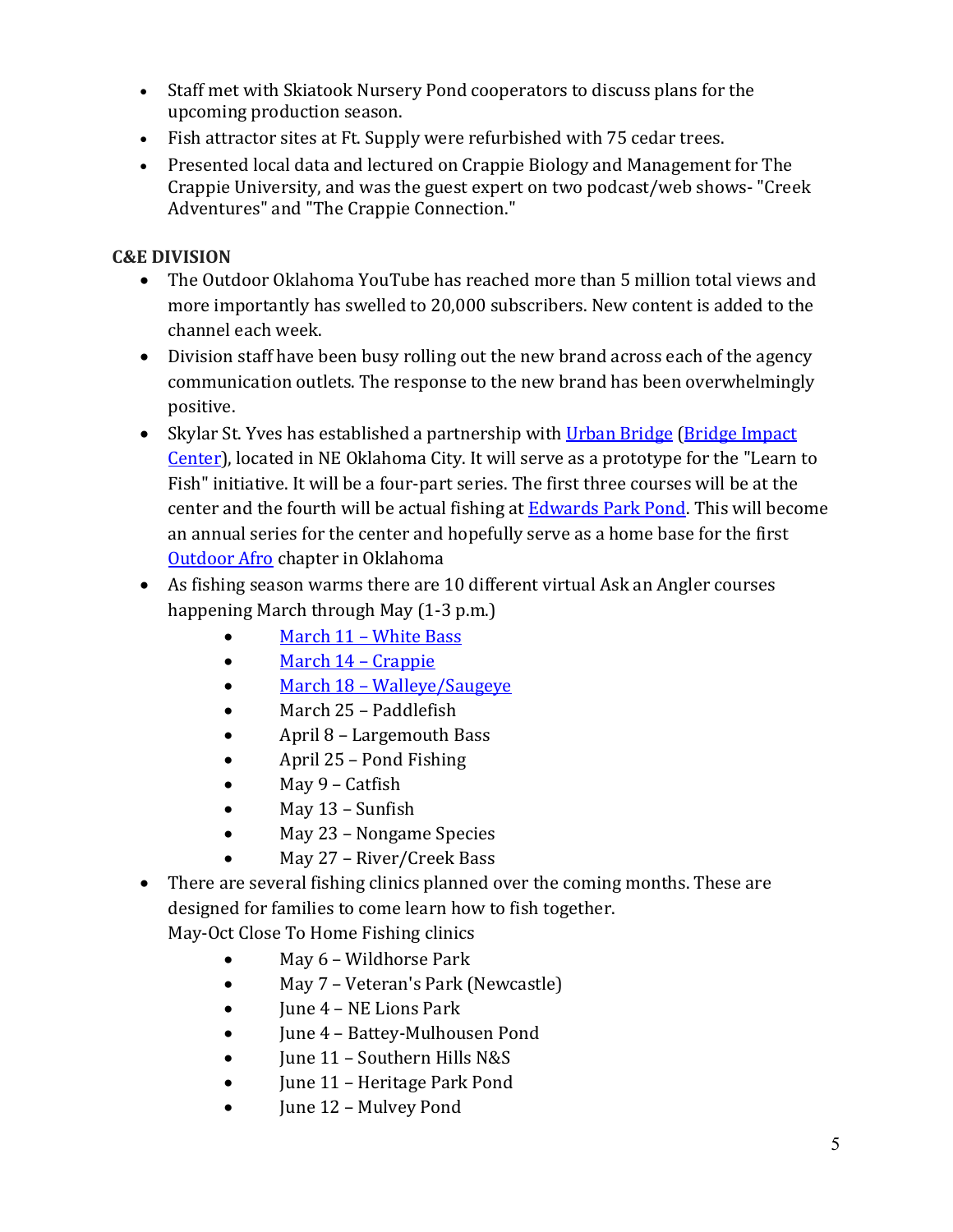- Staff met with Skiatook Nursery Pond cooperators to discuss plans for the upcoming production season.
- Fish attractor sites at Ft. Supply were refurbished with 75 cedar trees.
- Presented local data and lectured on Crappie Biology and Management for The Crappie University, and was the guest expert on two podcast/web shows- "Creek Adventures" and "The Crappie Connection."

### **C&E DIVISION**

- The Outdoor Oklahoma YouTube has reached more than 5 million total views and more importantly has swelled to 20,000 subscribers. New content is added to the channel each week.
- Division staff have been busy rolling out the new brand across each of the agency communication outlets. The response to the new brand has been overwhelmingly positive.
- Skylar St. Yves has established a partnership with [Urban Bridge](https://www.urbanbridge.org/) (Bridge Impact [Center\)](https://goo.gl/maps/XmYjcQsTpytWGa5w8), located in NE Oklahoma City. It will serve as a prototype for the "Learn to Fish" initiative. It will be a four-part series. The first three courses will be at the center and the fourth will be actual fishing a[t Edwards Park Pond.](https://goo.gl/maps/B5qEZqZRUEXCqaNi6) This will become an annual series for the center and hopefully serve as a home base for the first [Outdoor Afro](https://outdoorafro.com/) chapter in Oklahoma
- As fishing season warms there are 10 different virtual Ask an Angler courses happening March through May (1-3 p.m.)
	- [March 11 White Bass](https://www.youtube.com/watch?v=LHDaV2_jM94)
	- [March 14 Crappie](https://www.youtube.com/watch?v=Kuc2322kA6w)
	- [March 18 Walleye/Saugeye](https://www.youtube.com/watch?v=kmHIjmN3QFc)
	- March 25 Paddlefish
	- April 8 Largemouth Bass
	- April 25 Pond Fishing
	- May 9 Catfish
	- May 13 Sunfish
	- May 23 Nongame Species
	- May 27 River/Creek Bass
- There are several fishing clinics planned over the coming months. These are designed for families to come learn how to fish together.
	- May-Oct Close To Home Fishing clinics
		- May 6 Wildhorse Park
		- May 7 Veteran's Park (Newcastle)
		- June 4 NE Lions Park
		- June 4 Battey-Mulhousen Pond
		- June 11 Southern Hills N&S
		- **June 11 Heritage Park Pond**
		- June 12 Mulvey Pond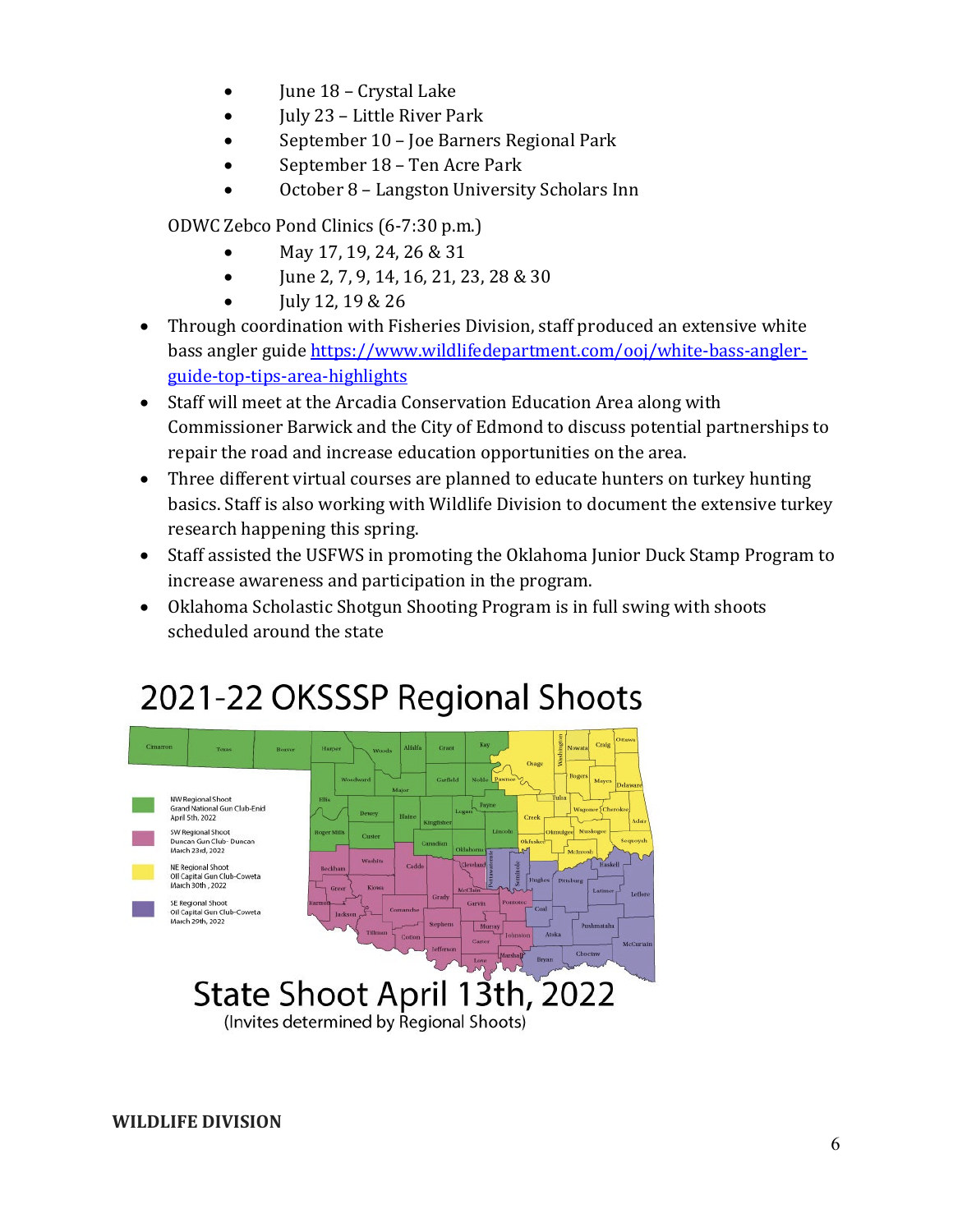- June 18 Crystal Lake
- **July 23 Little River Park**
- September 10 Joe Barners Regional Park
- September 18 Ten Acre Park
- October 8 Langston University Scholars Inn

ODWC Zebco Pond Clinics (6-7:30 p.m.)

- May 17, 19, 24, 26 & 31
- June 2, 7, 9, 14, 16, 21, 23, 28 & 30
- July 12, 19 & 26
- Through coordination with Fisheries Division, staff produced an extensive white bass angler guid[e https://www.wildlifedepartment.com/ooj/white-bass-angler](https://www.wildlifedepartment.com/ooj/white-bass-angler-guide-top-tips-area-highlights)[guide-top-tips-area-highlights](https://www.wildlifedepartment.com/ooj/white-bass-angler-guide-top-tips-area-highlights)
- Staff will meet at the Arcadia Conservation Education Area along with Commissioner Barwick and the City of Edmond to discuss potential partnerships to repair the road and increase education opportunities on the area.
- Three different virtual courses are planned to educate hunters on turkey hunting basics. Staff is also working with Wildlife Division to document the extensive turkey research happening this spring.
- Staff assisted the USFWS in promoting the Oklahoma Junior Duck Stamp Program to increase awareness and participation in the program.
- Oklahoma Scholastic Shotgun Shooting Program is in full swing with shoots scheduled around the state

# 2021-22 OKSSSP Regional Shoots



**WILDLIFE DIVISION**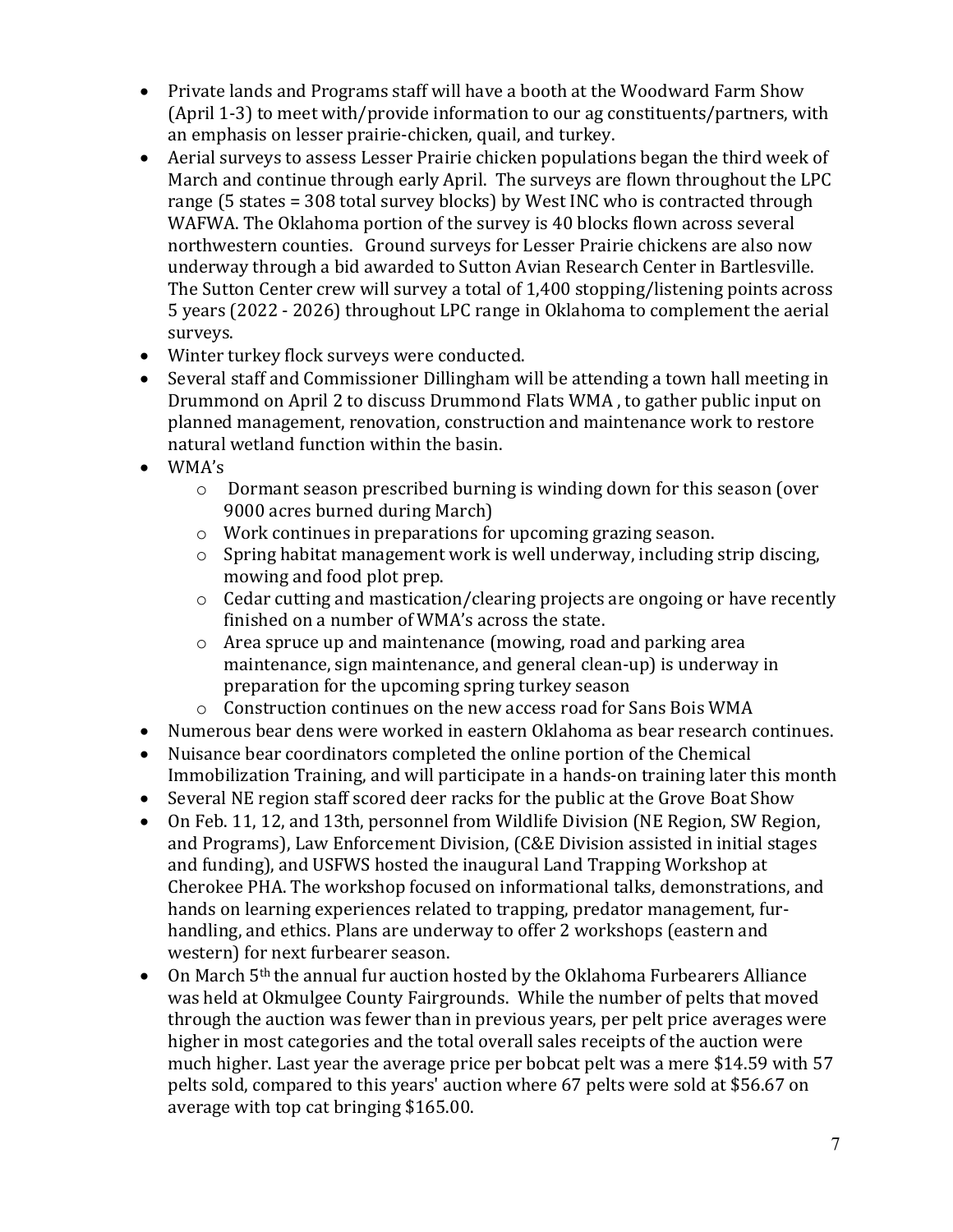- Private lands and Programs staff will have a booth at the Woodward Farm Show (April 1-3) to meet with/provide information to our ag constituents/partners, with an emphasis on lesser prairie-chicken, quail, and turkey.
- Aerial surveys to assess Lesser Prairie chicken populations began the third week of March and continue through early April. The surveys are flown throughout the LPC range (5 states = 308 total survey blocks) by West INC who is contracted through WAFWA. The Oklahoma portion of the survey is 40 blocks flown across several northwestern counties. Ground surveys for Lesser Prairie chickens are also now underway through a bid awarded to Sutton Avian Research Center in Bartlesville. The Sutton Center crew will survey a total of 1,400 stopping/listening points across 5 years (2022 - 2026) throughout LPC range in Oklahoma to complement the aerial surveys.
- Winter turkey flock surveys were conducted.
- Several staff and Commissioner Dillingham will be attending a town hall meeting in Drummond on April 2 to discuss Drummond Flats WMA , to gather public input on planned management, renovation, construction and maintenance work to restore natural wetland function within the basin.
- WMA's
	- o Dormant season prescribed burning is winding down for this season (over 9000 acres burned during March)
	- o Work continues in preparations for upcoming grazing season.
	- o Spring habitat management work is well underway, including strip discing, mowing and food plot prep.
	- o Cedar cutting and mastication/clearing projects are ongoing or have recently finished on a number of WMA's across the state.
	- o Area spruce up and maintenance (mowing, road and parking area maintenance, sign maintenance, and general clean-up) is underway in preparation for the upcoming spring turkey season
	- o Construction continues on the new access road for Sans Bois WMA
- Numerous bear dens were worked in eastern Oklahoma as bear research continues.
- Nuisance bear coordinators completed the online portion of the Chemical Immobilization Training, and will participate in a hands-on training later this month
- Several NE region staff scored deer racks for the public at the Grove Boat Show
- On Feb. 11, 12, and 13th, personnel from Wildlife Division (NE Region, SW Region, and Programs), Law Enforcement Division, (C&E Division assisted in initial stages and funding), and USFWS hosted the inaugural Land Trapping Workshop at Cherokee PHA. The workshop focused on informational talks, demonstrations, and hands on learning experiences related to trapping, predator management, furhandling, and ethics. Plans are underway to offer 2 workshops (eastern and western) for next furbearer season.
- On March 5<sup>th</sup> the annual fur auction hosted by the Oklahoma Furbearers Alliance was held at Okmulgee County Fairgrounds. While the number of pelts that moved through the auction was fewer than in previous years, per pelt price averages were higher in most categories and the total overall sales receipts of the auction were much higher. Last year the average price per bobcat pelt was a mere \$14.59 with 57 pelts sold, compared to this years' auction where 67 pelts were sold at \$56.67 on average with top cat bringing \$165.00.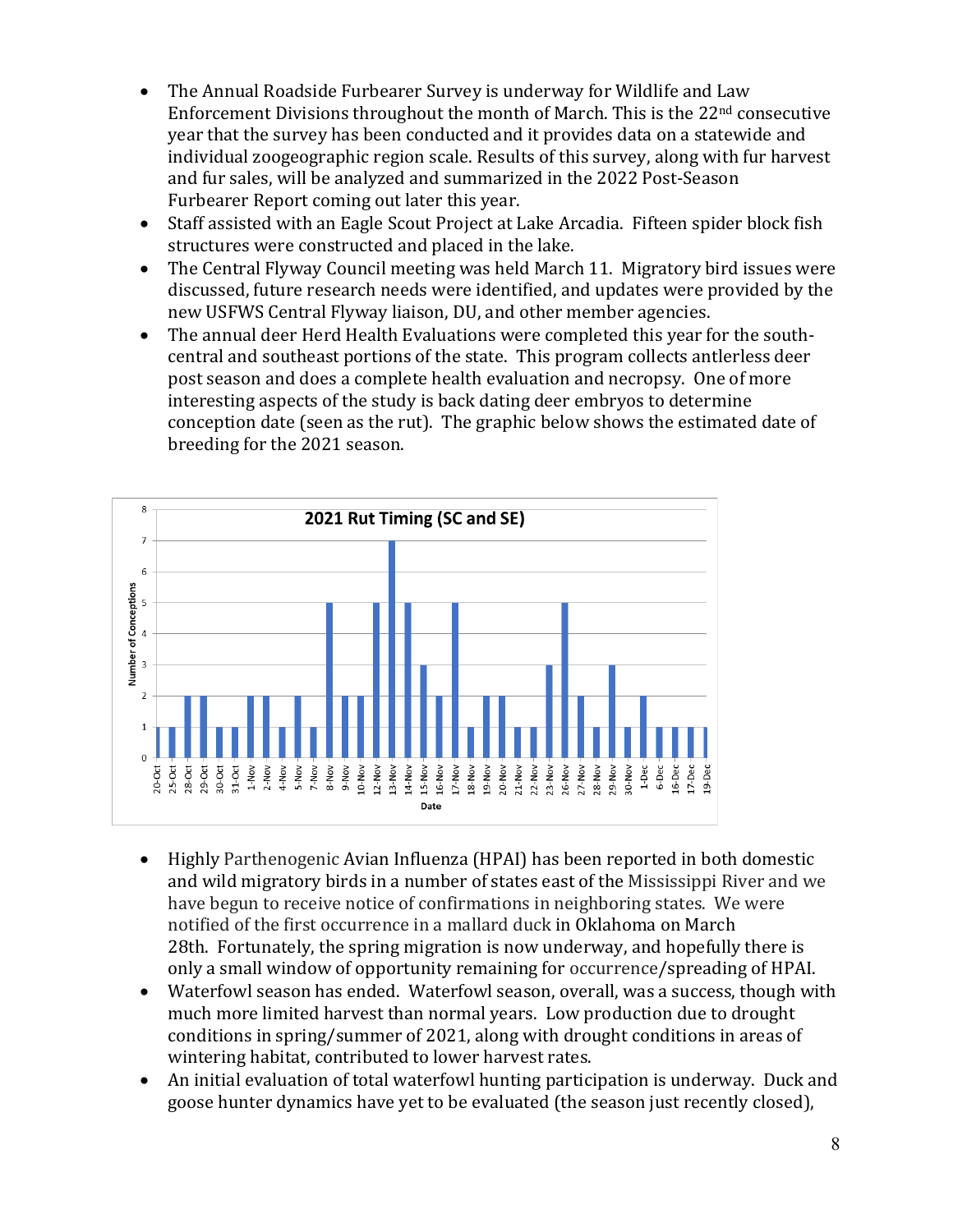- The Annual Roadside Furbearer Survey is underway for Wildlife and Law Enforcement Divisions throughout the month of March. This is the 22nd consecutive year that the survey has been conducted and it provides data on a statewide and individual zoogeographic region scale. Results of this survey, along with fur harvest and fur sales, will be analyzed and summarized in the 2022 Post-Season Furbearer Report coming out later this year.
- Staff assisted with an Eagle Scout Project at Lake Arcadia. Fifteen spider block fish structures were constructed and placed in the lake.
- The Central Flyway Council meeting was held March 11. Migratory bird issues were discussed, future research needs were identified, and updates were provided by the new USFWS Central Flyway liaison, DU, and other member agencies.
- The annual deer Herd Health Evaluations were completed this year for the southcentral and southeast portions of the state. This program collects antlerless deer post season and does a complete health evaluation and necropsy. One of more interesting aspects of the study is back dating deer embryos to determine conception date (seen as the rut). The graphic below shows the estimated date of breeding for the 2021 season.



- Highly Parthenogenic Avian Influenza (HPAI) has been reported in both domestic and wild migratory birds in a number of states east of the Mississippi River and we have begun to receive notice of confirmations in neighboring states. We were notified of the first occurrence in a mallard duck in Oklahoma on March 28th. Fortunately, the spring migration is now underway, and hopefully there is only a small window of opportunity remaining for occurrence/spreading of HPAI.
- Waterfowl season has ended. Waterfowl season, overall, was a success, though with much more limited harvest than normal years. Low production due to drought conditions in spring/summer of 2021, along with drought conditions in areas of wintering habitat, contributed to lower harvest rates.
- An initial evaluation of total waterfowl hunting participation is underway. Duck and goose hunter dynamics have yet to be evaluated (the season just recently closed),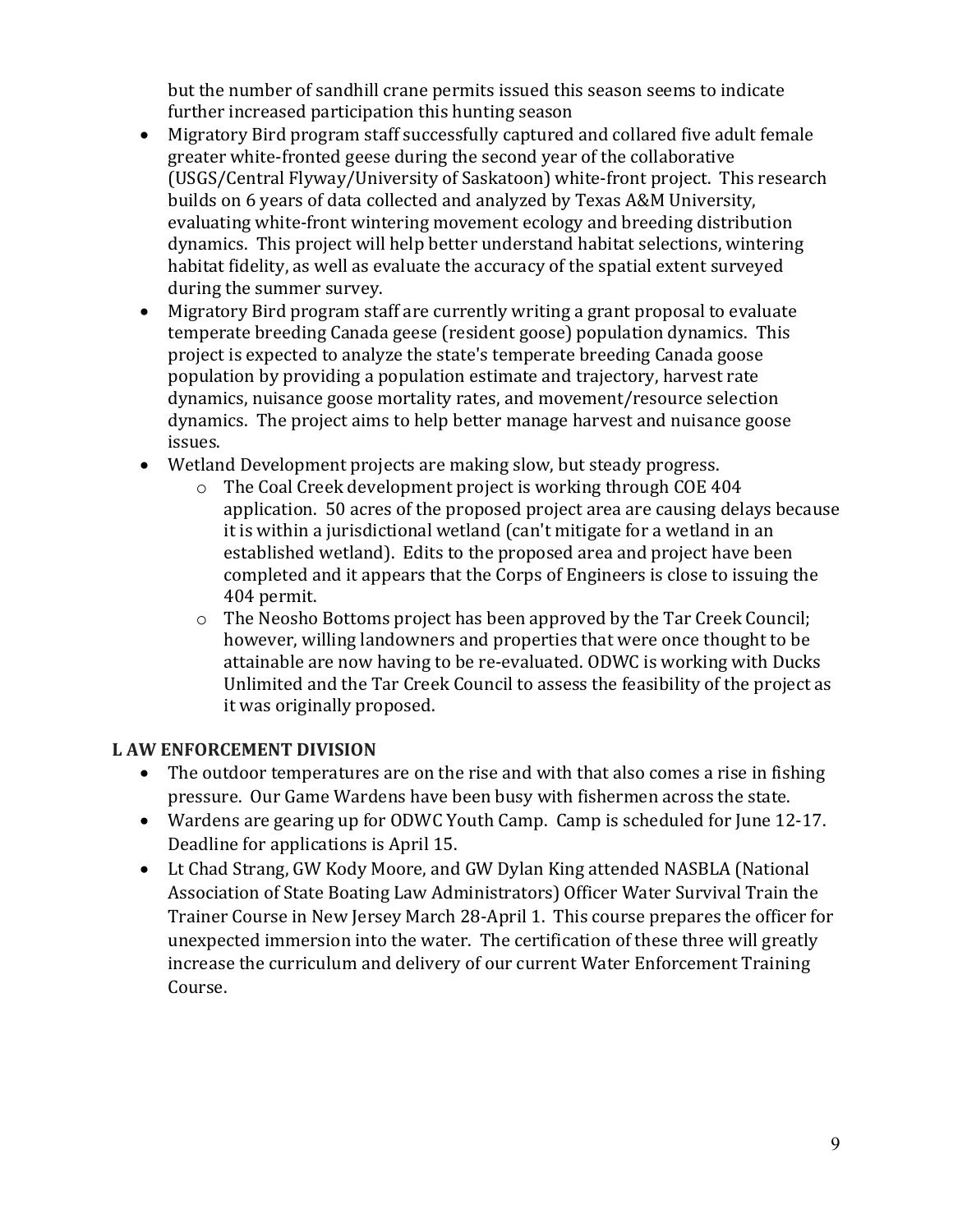but the number of sandhill crane permits issued this season seems to indicate further increased participation this hunting season

- Migratory Bird program staff successfully captured and collared five adult female greater white-fronted geese during the second year of the collaborative (USGS/Central Flyway/University of Saskatoon) white-front project. This research builds on 6 years of data collected and analyzed by Texas A&M University, evaluating white-front wintering movement ecology and breeding distribution dynamics. This project will help better understand habitat selections, wintering habitat fidelity, as well as evaluate the accuracy of the spatial extent surveyed during the summer survey.
- Migratory Bird program staff are currently writing a grant proposal to evaluate temperate breeding Canada geese (resident goose) population dynamics. This project is expected to analyze the state's temperate breeding Canada goose population by providing a population estimate and trajectory, harvest rate dynamics, nuisance goose mortality rates, and movement/resource selection dynamics. The project aims to help better manage harvest and nuisance goose issues.
- Wetland Development projects are making slow, but steady progress.
	- o The Coal Creek development project is working through COE 404 application. 50 acres of the proposed project area are causing delays because it is within a jurisdictional wetland (can't mitigate for a wetland in an established wetland). Edits to the proposed area and project have been completed and it appears that the Corps of Engineers is close to issuing the 404 permit.
	- o The Neosho Bottoms project has been approved by the Tar Creek Council; however, willing landowners and properties that were once thought to be attainable are now having to be re-evaluated. ODWC is working with Ducks Unlimited and the Tar Creek Council to assess the feasibility of the project as it was originally proposed.

#### **L AW ENFORCEMENT DIVISION**

- The outdoor temperatures are on the rise and with that also comes a rise in fishing pressure. Our Game Wardens have been busy with fishermen across the state.
- Wardens are gearing up for ODWC Youth Camp. Camp is scheduled for June 12-17. Deadline for applications is April 15.
- Lt Chad Strang, GW Kody Moore, and GW Dylan King attended NASBLA (National Association of State Boating Law Administrators) Officer Water Survival Train the Trainer Course in New Jersey March 28-April 1. This course prepares the officer for unexpected immersion into the water. The certification of these three will greatly increase the curriculum and delivery of our current Water Enforcement Training Course.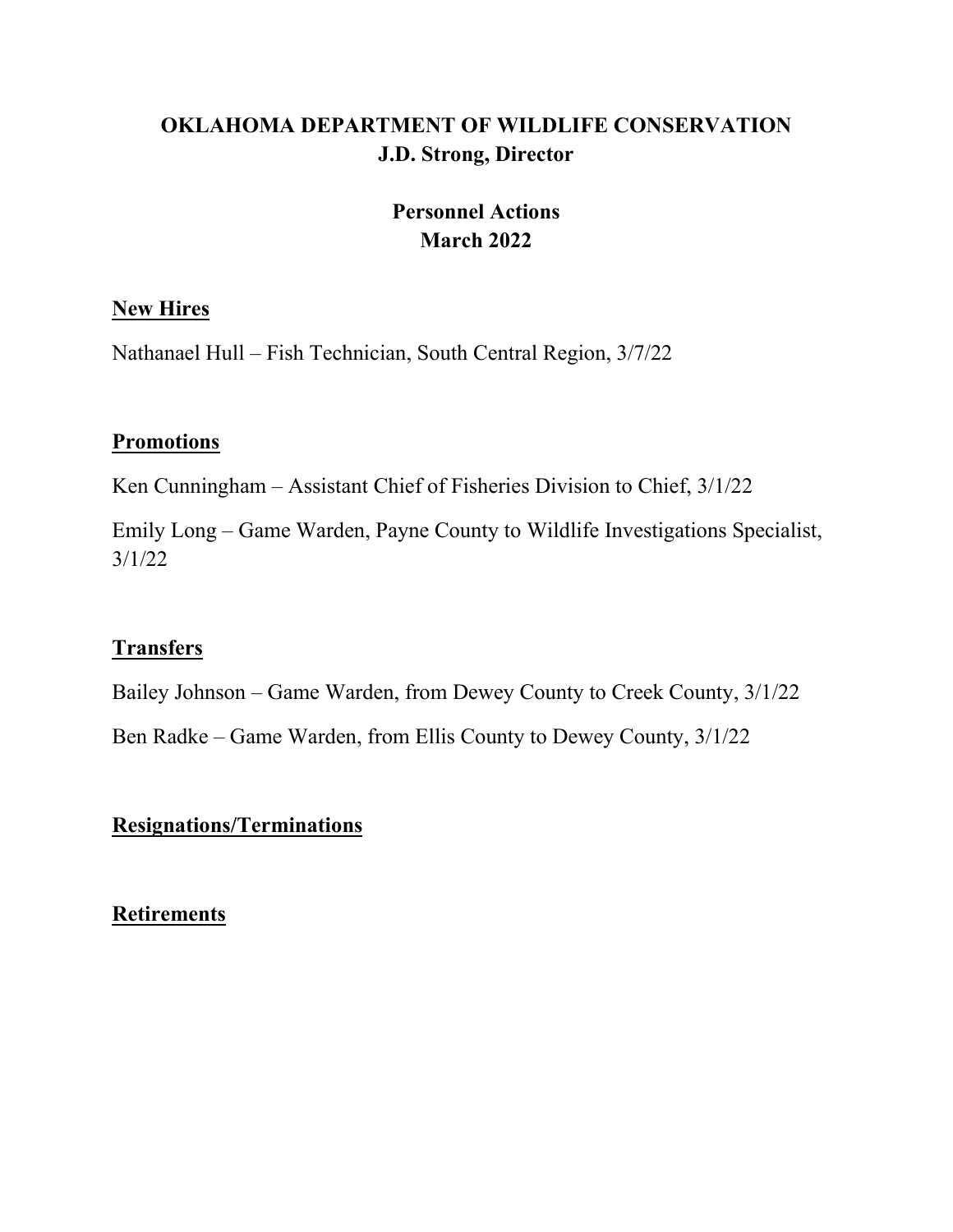# **OKLAHOMA DEPARTMENT OF WILDLIFE CONSERVATION J.D. Strong, Director**

# **Personnel Actions March 2022**

## **New Hires**

Nathanael Hull – Fish Technician, South Central Region, 3/7/22

## **Promotions**

Ken Cunningham – Assistant Chief of Fisheries Division to Chief, 3/1/22

Emily Long – Game Warden, Payne County to Wildlife Investigations Specialist, 3/1/22

# **Transfers**

Bailey Johnson – Game Warden, from Dewey County to Creek County, 3/1/22

Ben Radke – Game Warden, from Ellis County to Dewey County, 3/1/22

# **Resignations/Terminations**

**Retirements**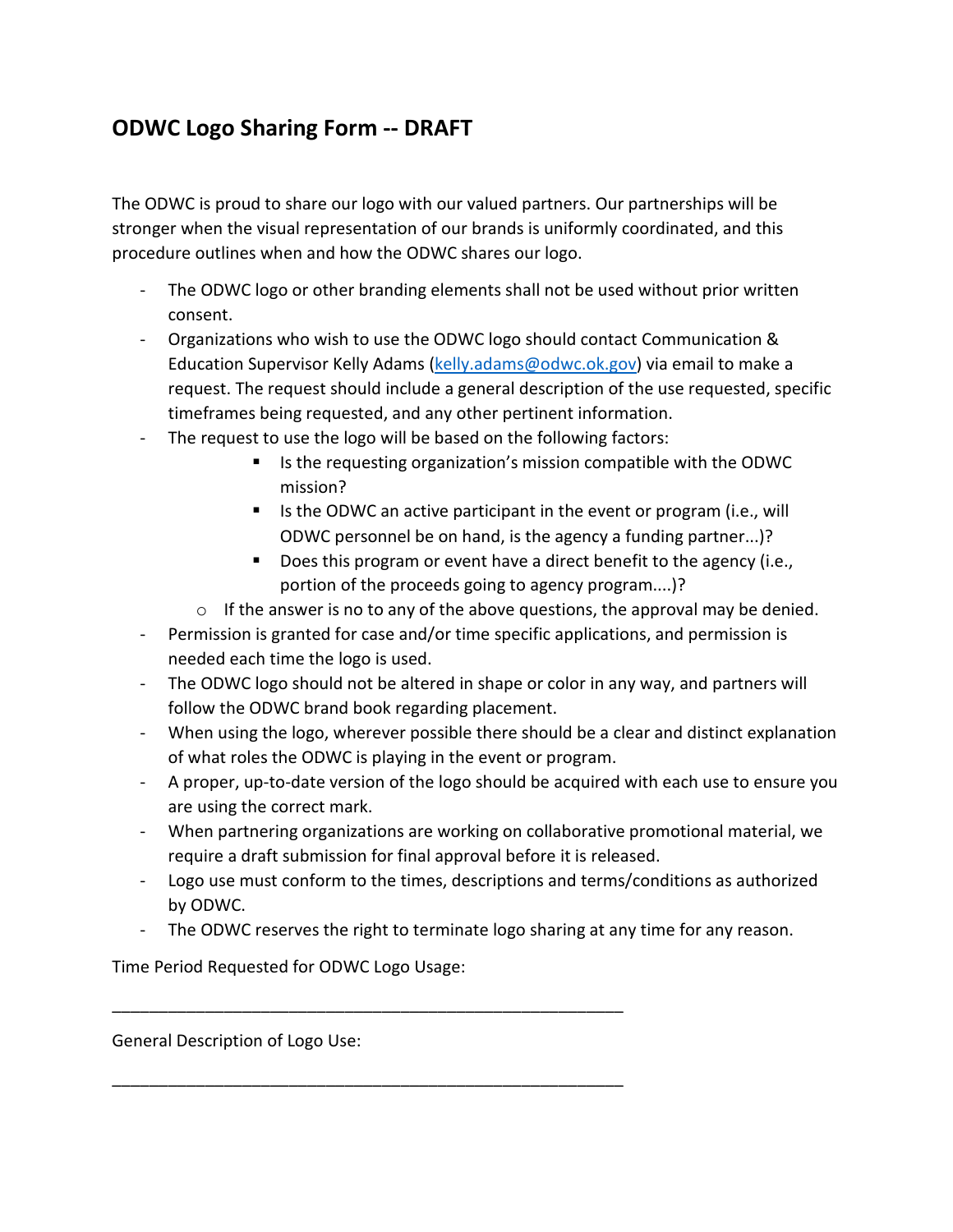# **ODWC Logo Sharing Form -- DRAFT**

The ODWC is proud to share our logo with our valued partners. Our partnerships will be stronger when the visual representation of our brands is uniformly coordinated, and this procedure outlines when and how the ODWC shares our logo.

- The ODWC logo or other branding elements shall not be used without prior written consent.
- Organizations who wish to use the ODWC logo should contact Communication & Education Supervisor Kelly Adams [\(kelly.adams@odwc.ok.gov\)](mailto:kelly.adams@odwc.ok.gov) via email to make a request. The request should include a general description of the use requested, specific timeframes being requested, and any other pertinent information.
- The request to use the logo will be based on the following factors:
	- Is the requesting organization's mission compatible with the ODWC mission?
	- Is the ODWC an active participant in the event or program (i.e., will ODWC personnel be on hand, is the agency a funding partner...)?
	- Does this program or event have a direct benefit to the agency (i.e., portion of the proceeds going to agency program....)?
	- $\circ$  If the answer is no to any of the above questions, the approval may be denied.
- Permission is granted for case and/or time specific applications, and permission is needed each time the logo is used.
- The ODWC logo should not be altered in shape or color in any way, and partners will follow the ODWC brand book regarding placement.
- When using the logo, wherever possible there should be a clear and distinct explanation of what roles the ODWC is playing in the event or program.
- A proper, up-to-date version of the logo should be acquired with each use to ensure you are using the correct mark.
- When partnering organizations are working on collaborative promotional material, we require a draft submission for final approval before it is released.
- Logo use must conform to the times, descriptions and terms/conditions as authorized by ODWC.
- The ODWC reserves the right to terminate logo sharing at any time for any reason.

Time Period Requested for ODWC Logo Usage:

\_\_\_\_\_\_\_\_\_\_\_\_\_\_\_\_\_\_\_\_\_\_\_\_\_\_\_\_\_\_\_\_\_\_\_\_\_\_\_\_\_\_\_\_\_\_\_\_\_\_\_\_\_\_\_

\_\_\_\_\_\_\_\_\_\_\_\_\_\_\_\_\_\_\_\_\_\_\_\_\_\_\_\_\_\_\_\_\_\_\_\_\_\_\_\_\_\_\_\_\_\_\_\_\_\_\_\_\_\_\_

General Description of Logo Use: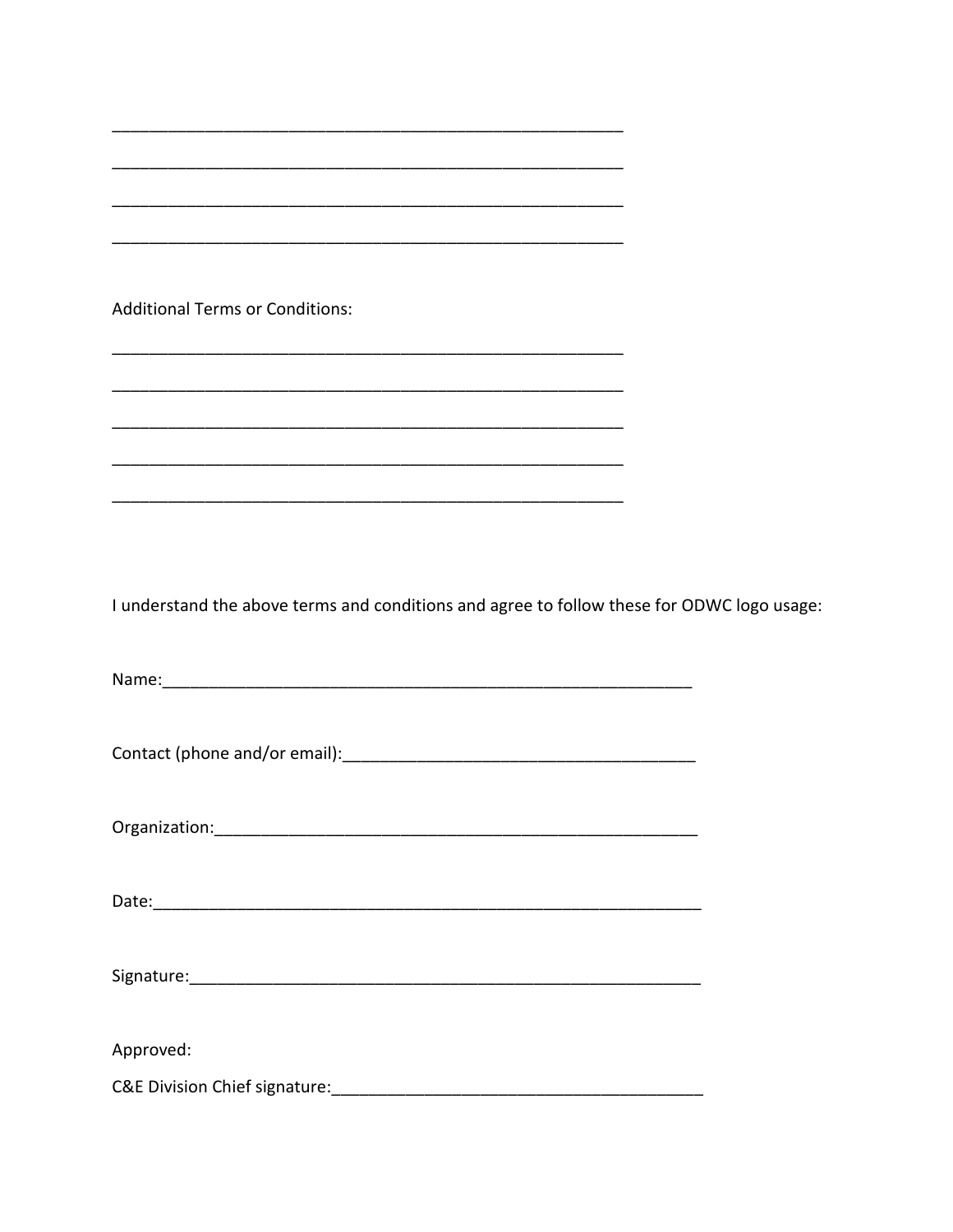| <b>Additional Terms or Conditions:</b>                                                     |  |
|--------------------------------------------------------------------------------------------|--|
|                                                                                            |  |
|                                                                                            |  |
|                                                                                            |  |
|                                                                                            |  |
|                                                                                            |  |
| I understand the above terms and conditions and agree to follow these for ODWC logo usage: |  |
|                                                                                            |  |
|                                                                                            |  |
|                                                                                            |  |
|                                                                                            |  |
|                                                                                            |  |
|                                                                                            |  |
|                                                                                            |  |
|                                                                                            |  |
|                                                                                            |  |
| Approved:                                                                                  |  |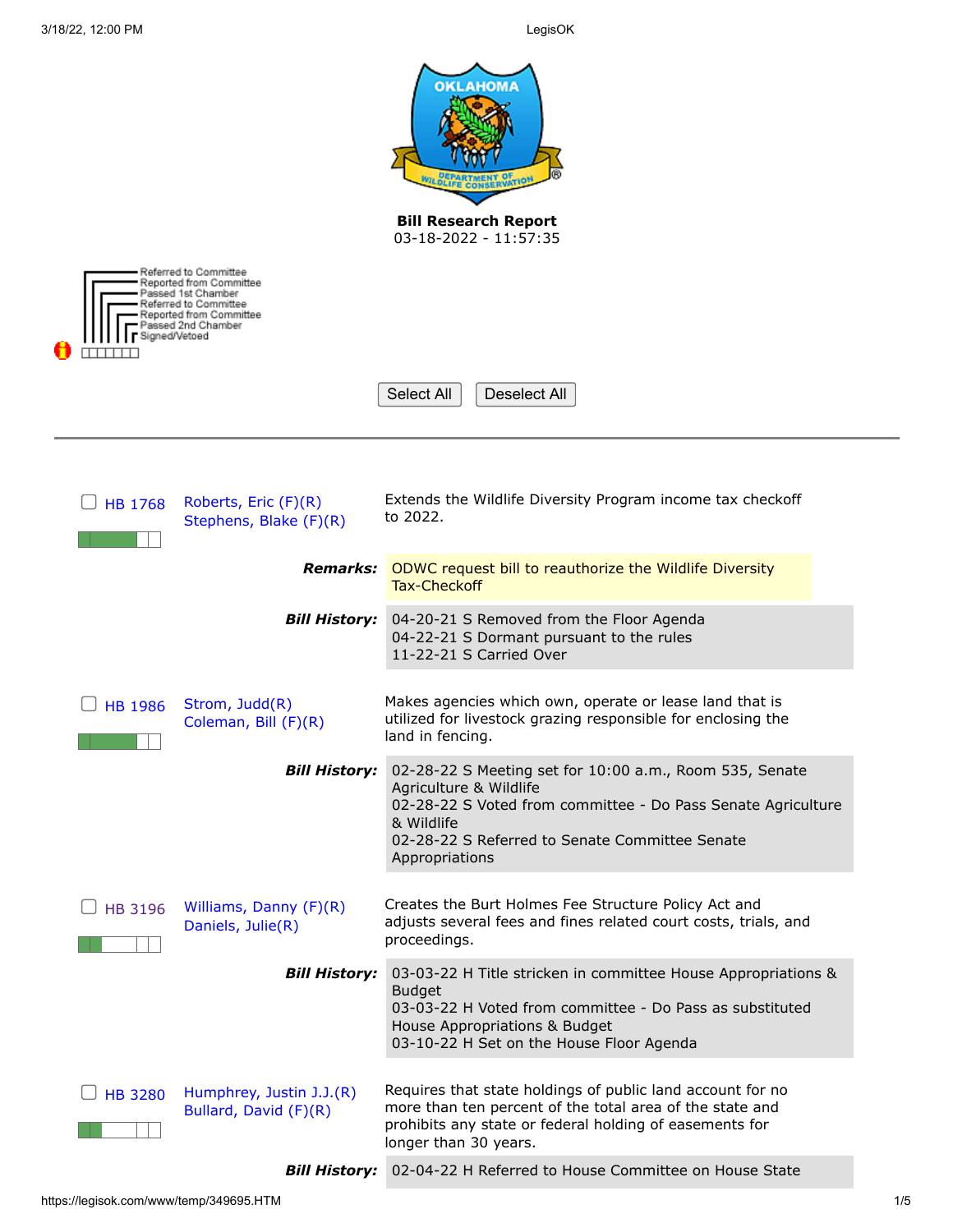|                                                                                                                            | <b>OKLAHOMA</b><br><b>Bill Research Report</b><br>$03-18-2022 - 11:57:35$                                                                                                                                                           |  |
|----------------------------------------------------------------------------------------------------------------------------|-------------------------------------------------------------------------------------------------------------------------------------------------------------------------------------------------------------------------------------|--|
| Referred to Committee<br>Reported from Committee<br>Passed 1st Chamber<br>Referred to Committee<br>Reported from Committee |                                                                                                                                                                                                                                     |  |
| 'assed 2nd Chamber<br>Signed/Vetoed                                                                                        |                                                                                                                                                                                                                                     |  |
|                                                                                                                            | Select All<br>Deselect All                                                                                                                                                                                                          |  |
|                                                                                                                            |                                                                                                                                                                                                                                     |  |
| Roberts, Eric (F)(R)<br><b>HB 1768</b><br>Stephens, Blake (F)(R)                                                           | Extends the Wildlife Diversity Program income tax checkoff<br>to 2022.                                                                                                                                                              |  |
| Remarks:                                                                                                                   | ODWC request bill to reauthorize the Wildlife Diversity<br><b>Tax-Checkoff</b>                                                                                                                                                      |  |
| <b>Bill History:</b>                                                                                                       | 04-20-21 S Removed from the Floor Agenda<br>04-22-21 S Dormant pursuant to the rules<br>11-22-21 S Carried Over                                                                                                                     |  |
| Strom, Judd(R)<br><b>HB 1986</b><br>Coleman, Bill (F)(R)                                                                   | Makes agencies which own, operate or lease land that is<br>utilized for livestock grazing responsible for enclosing the<br>land in fencing.                                                                                         |  |
| <b>Bill History:</b>                                                                                                       | 02-28-22 S Meeting set for 10:00 a.m., Room 535, Senate<br>Agriculture & Wildlife<br>02-28-22 S Voted from committee - Do Pass Senate Agriculture<br>& Wildlife<br>02-28-22 S Referred to Senate Committee Senate<br>Appropriations |  |
| Williams, Danny (F)(R)<br>HB 3196<br>Daniels, Julie(R)                                                                     | Creates the Burt Holmes Fee Structure Policy Act and<br>adjusts several fees and fines related court costs, trials, and<br>proceedings.                                                                                             |  |
| <b>Bill History:</b>                                                                                                       | 03-03-22 H Title stricken in committee House Appropriations &<br><b>Budget</b><br>03-03-22 H Voted from committee - Do Pass as substituted<br>House Appropriations & Budget<br>03-10-22 H Set on the House Floor Agenda             |  |
| Humphrey, Justin J.J.(R)<br><b>HB 3280</b><br>Bullard, David (F)(R)                                                        | Requires that state holdings of public land account for no<br>more than ten percent of the total area of the state and<br>prohibits any state or federal holding of easements for<br>longer than 30 years.                          |  |
|                                                                                                                            | Bill History: 02-04-22 H Referred to House Committee on House State                                                                                                                                                                 |  |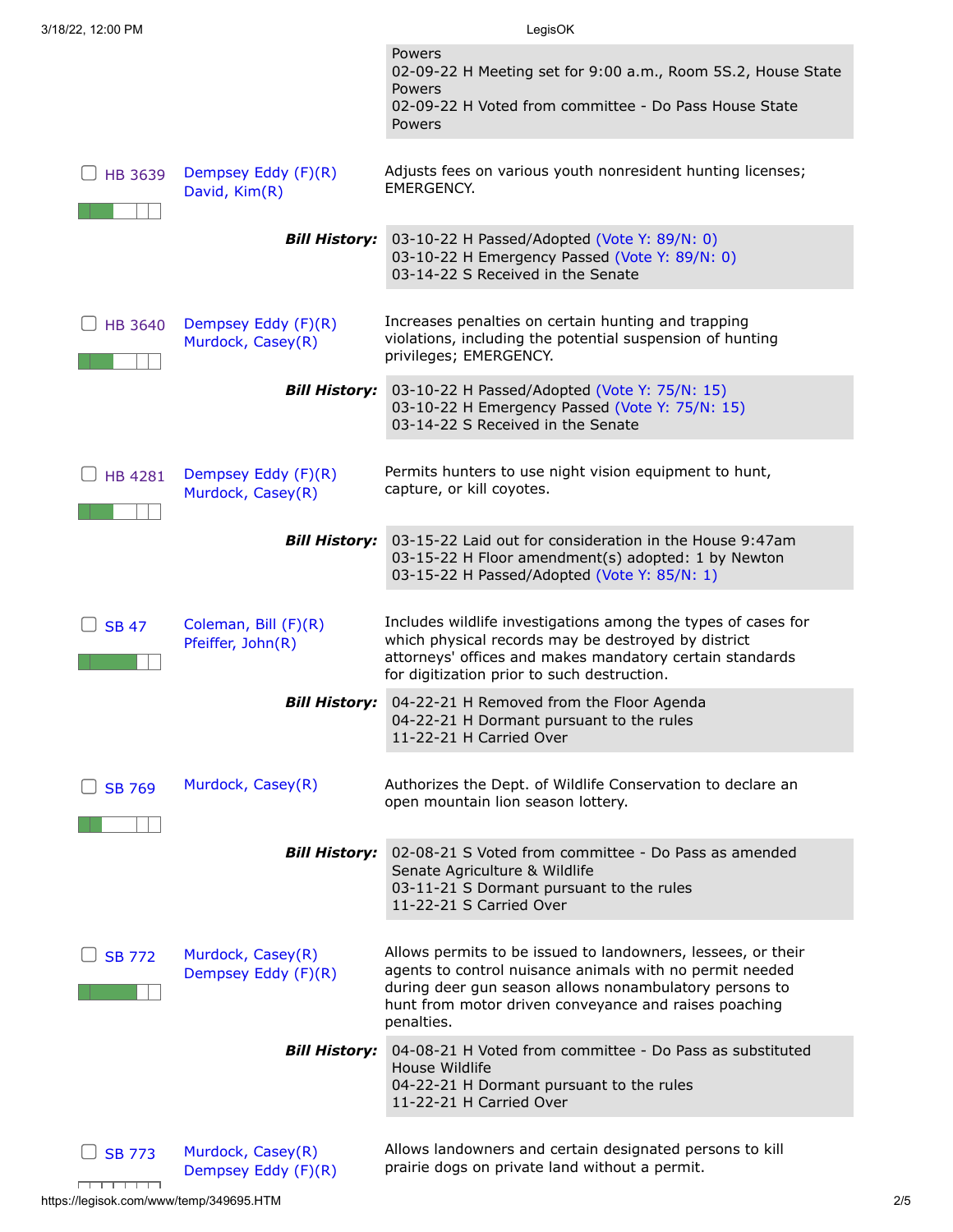| 3/18/22, 12:00 PM |                                           | LegisOK                                                                                                                                                                                                                                                   |
|-------------------|-------------------------------------------|-----------------------------------------------------------------------------------------------------------------------------------------------------------------------------------------------------------------------------------------------------------|
|                   |                                           | Powers<br>02-09-22 H Meeting set for 9:00 a.m., Room 5S.2, House State<br>Powers                                                                                                                                                                          |
|                   |                                           | 02-09-22 H Voted from committee - Do Pass House State<br>Powers                                                                                                                                                                                           |
| HB 3639           | Dempsey Eddy (F)(R)<br>David, Kim(R)      | Adjusts fees on various youth nonresident hunting licenses;<br>EMERGENCY.                                                                                                                                                                                 |
|                   | <b>Bill History:</b>                      | 03-10-22 H Passed/Adopted (Vote Y: 89/N: 0)<br>03-10-22 H Emergency Passed (Vote Y: 89/N: 0)<br>03-14-22 S Received in the Senate                                                                                                                         |
| HB 3640           | Dempsey Eddy (F)(R)<br>Murdock, Casey(R)  | Increases penalties on certain hunting and trapping<br>violations, including the potential suspension of hunting<br>privileges; EMERGENCY.                                                                                                                |
|                   | <b>Bill History:</b>                      | 03-10-22 H Passed/Adopted (Vote Y: 75/N: 15)<br>03-10-22 H Emergency Passed (Vote Y: 75/N: 15)<br>03-14-22 S Received in the Senate                                                                                                                       |
| HB 4281           | Dempsey Eddy (F)(R)<br>Murdock, Casey(R)  | Permits hunters to use night vision equipment to hunt,<br>capture, or kill coyotes.                                                                                                                                                                       |
|                   | <b>Bill History:</b>                      | 03-15-22 Laid out for consideration in the House 9:47am<br>03-15-22 H Floor amendment(s) adopted: 1 by Newton<br>03-15-22 H Passed/Adopted (Vote Y: 85/N: 1)                                                                                              |
| <b>SB 47</b>      | Coleman, Bill (F)(R)<br>Pfeiffer, John(R) | Includes wildlife investigations among the types of cases for<br>which physical records may be destroyed by district<br>attorneys' offices and makes mandatory certain standards<br>for digitization prior to such destruction.                           |
|                   | <b>Bill History:</b>                      | 04-22-21 H Removed from the Floor Agenda<br>04-22-21 H Dormant pursuant to the rules<br>11-22-21 H Carried Over                                                                                                                                           |
| <b>SB 769</b>     | Murdock, Casey(R)                         | Authorizes the Dept. of Wildlife Conservation to declare an<br>open mountain lion season lottery.                                                                                                                                                         |
|                   | <b>Bill History:</b>                      | 02-08-21 S Voted from committee - Do Pass as amended<br>Senate Agriculture & Wildlife<br>03-11-21 S Dormant pursuant to the rules<br>11-22-21 S Carried Over                                                                                              |
| <b>SB 772</b>     | Murdock, Casey(R)<br>Dempsey Eddy (F)(R)  | Allows permits to be issued to landowners, lessees, or their<br>agents to control nuisance animals with no permit needed<br>during deer gun season allows nonambulatory persons to<br>hunt from motor driven conveyance and raises poaching<br>penalties. |
|                   | <b>Bill History:</b>                      | 04-08-21 H Voted from committee - Do Pass as substituted<br>House Wildlife<br>04-22-21 H Dormant pursuant to the rules<br>11-22-21 H Carried Over                                                                                                         |
| <b>SB 773</b>     | Murdock, Casey(R)<br>Dempsey Eddy (F)(R)  | Allows landowners and certain designated persons to kill<br>prairie dogs on private land without a permit.                                                                                                                                                |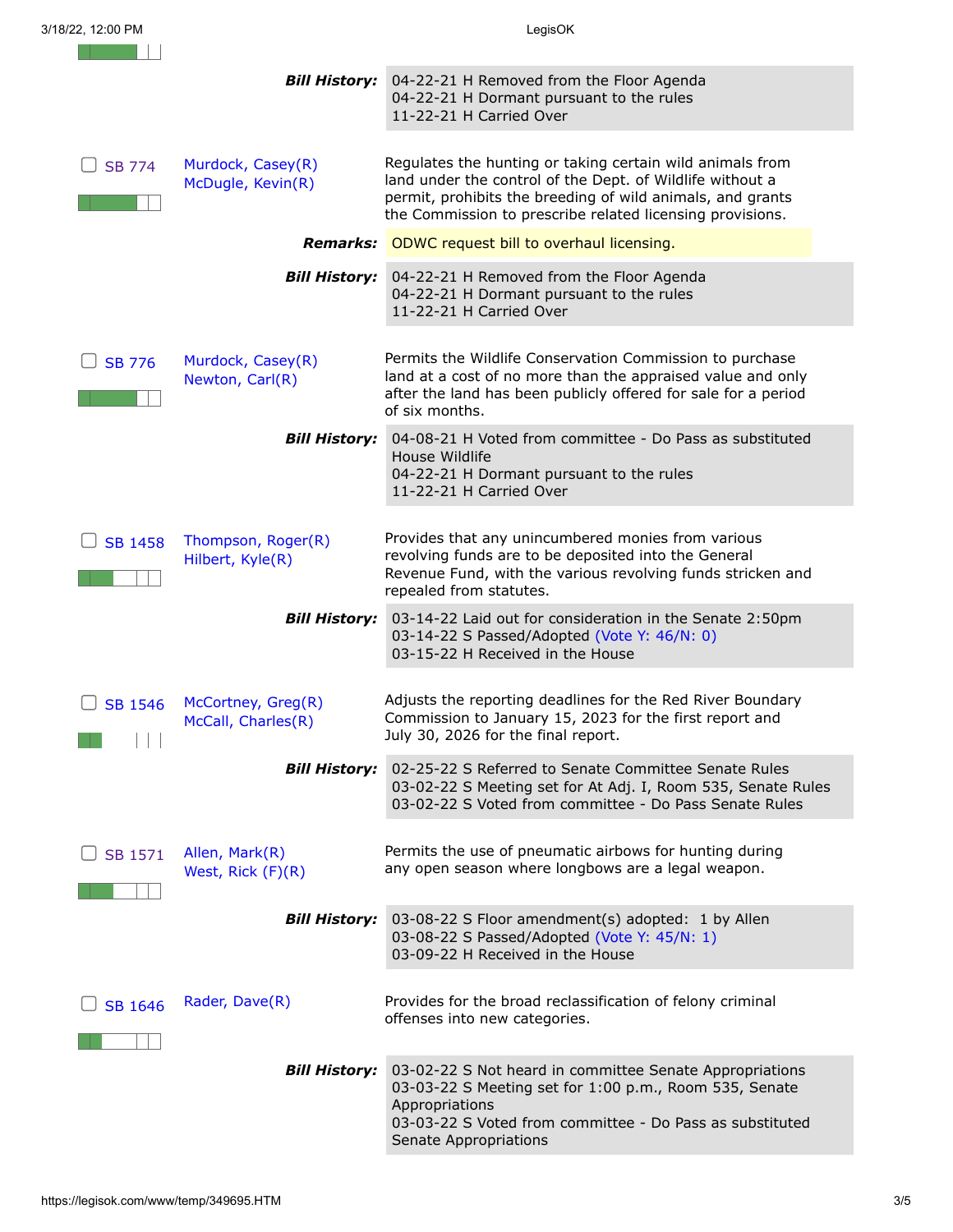|                | <b>Bill History:</b>                     | 04-22-21 H Removed from the Floor Agenda<br>04-22-21 H Dormant pursuant to the rules<br>11-22-21 H Carried Over                                                                                                                                   |
|----------------|------------------------------------------|---------------------------------------------------------------------------------------------------------------------------------------------------------------------------------------------------------------------------------------------------|
| <b>SB 774</b>  | Murdock, Casey(R)<br>McDugle, Kevin(R)   | Regulates the hunting or taking certain wild animals from<br>land under the control of the Dept. of Wildlife without a<br>permit, prohibits the breeding of wild animals, and grants<br>the Commission to prescribe related licensing provisions. |
|                |                                          | <b>Remarks:</b> ODWC request bill to overhaul licensing.                                                                                                                                                                                          |
|                | <b>Bill History:</b>                     | 04-22-21 H Removed from the Floor Agenda<br>04-22-21 H Dormant pursuant to the rules<br>11-22-21 H Carried Over                                                                                                                                   |
| <b>SB 776</b>  | Murdock, Casey(R)<br>Newton, Carl(R)     | Permits the Wildlife Conservation Commission to purchase<br>land at a cost of no more than the appraised value and only<br>after the land has been publicly offered for sale for a period<br>of six months.                                       |
|                | <b>Bill History:</b>                     | 04-08-21 H Voted from committee - Do Pass as substituted<br>House Wildlife<br>04-22-21 H Dormant pursuant to the rules<br>11-22-21 H Carried Over                                                                                                 |
| <b>SB 1458</b> | Thompson, Roger(R)<br>Hilbert, Kyle(R)   | Provides that any unincumbered monies from various<br>revolving funds are to be deposited into the General<br>Revenue Fund, with the various revolving funds stricken and<br>repealed from statutes.                                              |
|                | <b>Bill History:</b>                     | 03-14-22 Laid out for consideration in the Senate 2:50pm<br>03-14-22 S Passed/Adopted (Vote Y: 46/N: 0)<br>03-15-22 H Received in the House                                                                                                       |
| <b>SB 1546</b> | McCortney, Greg(R)<br>McCall, Charles(R) | Adjusts the reporting deadlines for the Red River Boundary<br>Commission to January 15, 2023 for the first report and<br>July 30, 2026 for the final report.                                                                                      |
|                | <b>Bill History:</b>                     | 02-25-22 S Referred to Senate Committee Senate Rules<br>03-02-22 S Meeting set for At Adj. I, Room 535, Senate Rules<br>03-02-22 S Voted from committee - Do Pass Senate Rules                                                                    |
| SB 1571        | Allen, Mark(R)<br>West, Rick (F)(R)      | Permits the use of pneumatic airbows for hunting during<br>any open season where longbows are a legal weapon.                                                                                                                                     |
|                | <b>Bill History:</b>                     | 03-08-22 S Floor amendment(s) adopted: 1 by Allen<br>03-08-22 S Passed/Adopted (Vote Y: 45/N: 1)<br>03-09-22 H Received in the House                                                                                                              |
| <b>SB 1646</b> | Rader, Dave(R)                           | Provides for the broad reclassification of felony criminal<br>offenses into new categories.                                                                                                                                                       |
|                | <b>Bill History:</b>                     | 03-02-22 S Not heard in committee Senate Appropriations<br>03-03-22 S Meeting set for 1:00 p.m., Room 535, Senate<br>Appropriations<br>03-03-22 S Voted from committee - Do Pass as substituted<br>Senate Appropriations                          |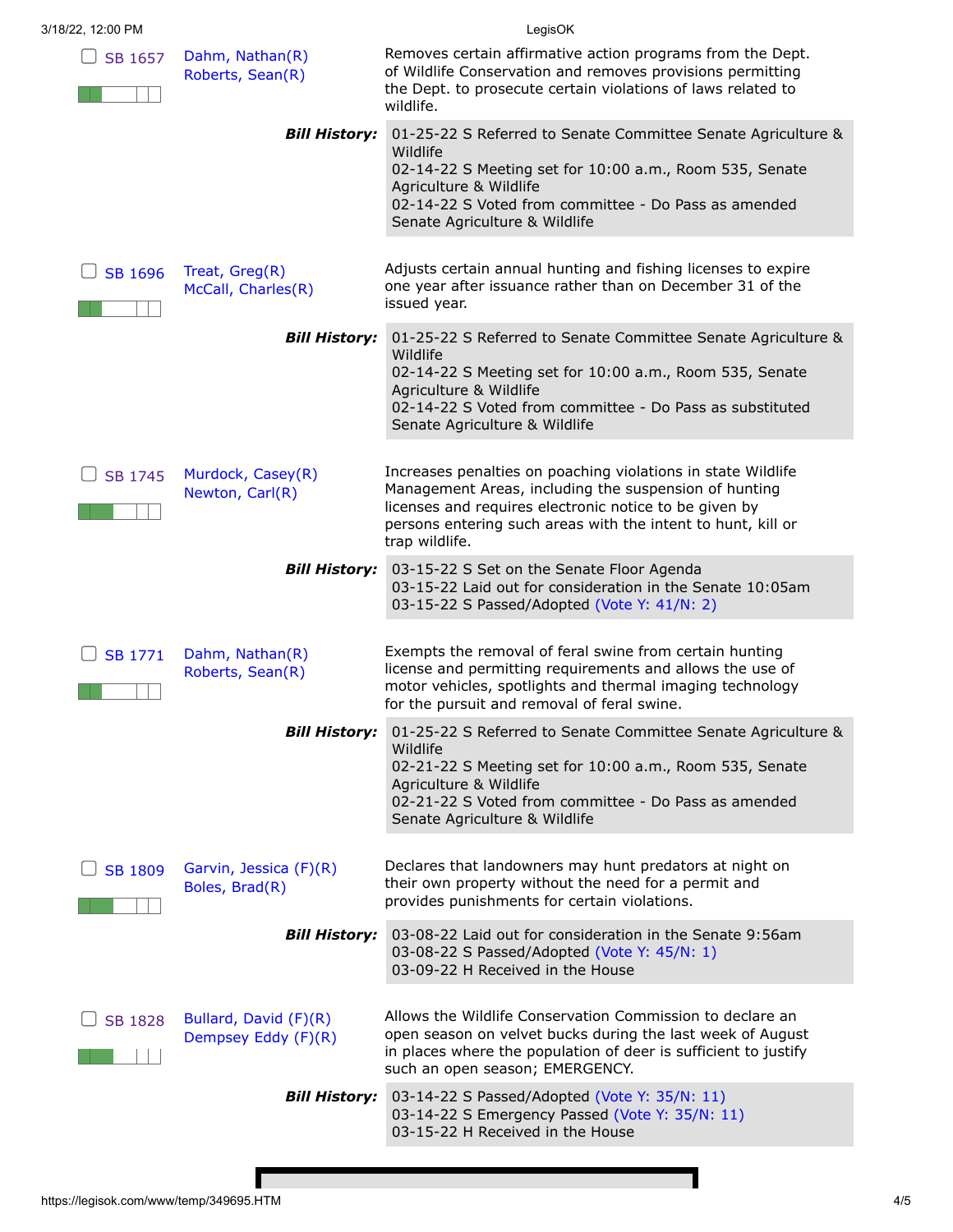|                                              | LegisOK                                                                                                                                                                                                                                                           |
|----------------------------------------------|-------------------------------------------------------------------------------------------------------------------------------------------------------------------------------------------------------------------------------------------------------------------|
| Dahm, Nathan(R)<br>Roberts, Sean(R)          | Removes certain affirmative action programs from the Dept.<br>of Wildlife Conservation and removes provisions permitting<br>the Dept. to prosecute certain violations of laws related to<br>wildlife.                                                             |
| <b>Bill History:</b>                         | 01-25-22 S Referred to Senate Committee Senate Agriculture &<br>Wildlife<br>02-14-22 S Meeting set for 10:00 a.m., Room 535, Senate<br>Agriculture & Wildlife<br>02-14-22 S Voted from committee - Do Pass as amended<br>Senate Agriculture & Wildlife            |
| Treat, Greg(R)<br>McCall, Charles(R)         | Adjusts certain annual hunting and fishing licenses to expire<br>one year after issuance rather than on December 31 of the<br>issued year.                                                                                                                        |
| <b>Bill History:</b>                         | 01-25-22 S Referred to Senate Committee Senate Agriculture &<br>Wildlife<br>02-14-22 S Meeting set for 10:00 a.m., Room 535, Senate<br>Agriculture & Wildlife<br>02-14-22 S Voted from committee - Do Pass as substituted<br>Senate Agriculture & Wildlife        |
| Murdock, Casey(R)<br>Newton, Carl(R)         | Increases penalties on poaching violations in state Wildlife<br>Management Areas, including the suspension of hunting<br>licenses and requires electronic notice to be given by<br>persons entering such areas with the intent to hunt, kill or<br>trap wildlife. |
| <b>Bill History:</b>                         | 03-15-22 S Set on the Senate Floor Agenda<br>03-15-22 Laid out for consideration in the Senate 10:05am<br>03-15-22 S Passed/Adopted (Vote Y: 41/N: 2)                                                                                                             |
| Dahm, Nathan(R)<br>Roberts, Sean(R)          | Exempts the removal of feral swine from certain hunting<br>license and permitting requirements and allows the use of<br>motor vehicles, spotlights and thermal imaging technology<br>for the pursuit and removal of feral swine.                                  |
|                                              | 01-25-22 S Referred to Senate Committee Senate Agriculture &<br>Wildlife<br>02-21-22 S Meeting set for 10:00 a.m., Room 535, Senate<br>Agriculture & Wildlife<br>02-21-22 S Voted from committee - Do Pass as amended<br>Senate Agriculture & Wildlife            |
| Garvin, Jessica (F)(R)<br>Boles, Brad(R)     | Declares that landowners may hunt predators at night on<br>their own property without the need for a permit and<br>provides punishments for certain violations.                                                                                                   |
| <b>Bill History:</b>                         | 03-08-22 Laid out for consideration in the Senate 9:56am<br>03-08-22 S Passed/Adopted (Vote Y: 45/N: 1)<br>03-09-22 H Received in the House                                                                                                                       |
| Bullard, David (F)(R)<br>Dempsey Eddy (F)(R) | Allows the Wildlife Conservation Commission to declare an<br>open season on velvet bucks during the last week of August<br>in places where the population of deer is sufficient to justify<br>such an open season; EMERGENCY.                                     |
| <b>Bill History:</b>                         | 03-14-22 S Passed/Adopted (Vote Y: 35/N: 11)<br>03-14-22 S Emergency Passed (Vote Y: 35/N: 11)<br>03-15-22 H Received in the House                                                                                                                                |
|                                              | <b>Bill History:</b>                                                                                                                                                                                                                                              |

Г